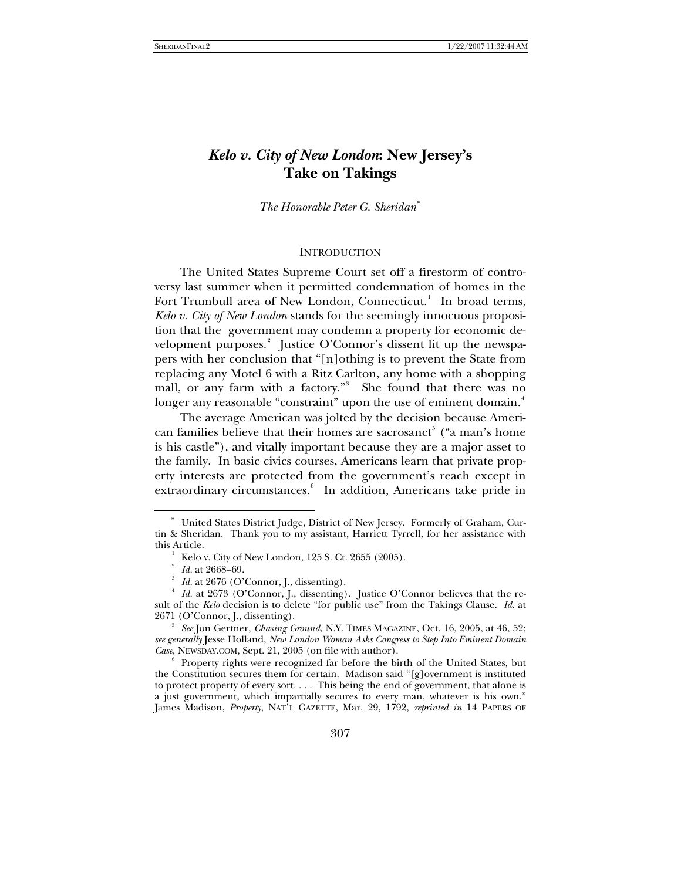# *Kelo v. City of New London***: New Jersey's Take on Takings**

*The Honorable Peter G. Sheridan*[∗](#page-0-0)

#### **INTRODUCTION**

The United States Supreme Court set off a firestorm of controversy last summer when it permitted condemnation of homes in the Fort Trumbull area of New London, Connecticut.<sup>[1](#page-0-1)</sup> In broad terms, *Kelo v. City of New London* stands for the seemingly innocuous proposition that the government may condemn a property for economic development purposes. $^2$  $^2$  Justice O'Connor's dissent lit up the newspapers with her conclusion that "[n]othing is to prevent the State from replacing any Motel 6 with a Ritz Carlton, any home with a shopping mall, or any farm with a factory."<sup>[3](#page-0-3)</sup> She found that there was no longer any reasonable "constraint" upon the use of eminent domain.<sup>[4](#page-0-4)</sup>

The average American was jolted by the decision because Ameri-can families believe that their homes are sacrosanct<sup>[5](#page-0-5)</sup> ("a man's home is his castle"), and vitally important because they are a major asset to the family. In basic civics courses, Americans learn that private property interests are protected from the government's reach except in extraordinary circumstances.<sup>[6](#page-0-6)</sup> In addition, Americans take pride in

<span id="page-0-0"></span>United States District Judge, District of New Jersey. Formerly of Graham, Curtin & Sheridan. Thank you to my assistant, Harriett Tyrrell, for her assistance with this Article.

<sup>&</sup>lt;sup>1</sup> Kelo v. City of New London, 125 S. Ct. 2655 (2005).<br><sup>2</sup> *Id.* at 2668–69.

<span id="page-0-4"></span><span id="page-0-3"></span><span id="page-0-2"></span><span id="page-0-1"></span>*Id.* at 2676 (O'Connor, J., dissenting).<br>*Id.* at 2673 (O'Connor, J., dissenting). Justice O'Connor believes that the result of the *Kelo* decision is to delete "for public use" from the Takings Clause. *Id*. at 2671 (O'Connor, J., dissenting).

<span id="page-0-5"></span>*See* Jon Gertner, *Chasing Ground*, N.Y. TIMES MAGAZINE, Oct. 16, 2005, at 46, 52; *see generally* Jesse Holland, *New London Woman Asks Congress to Step Into Eminent Domain Case*, NEWSDAY.COM, Sept. 21, 2005 (on file with author).

<span id="page-0-6"></span>Property rights were recognized far before the birth of the United States, but the Constitution secures them for certain. Madison said " $[g]$ overnment is instituted to protect property of every sort. . . . This being the end of government, that alone is a just government, which impartially secures to every man, whatever is his own." James Madison, *Property*, NAT'L GAZETTE, Mar. 29, 1792, *reprinted in* 14 PAPERS OF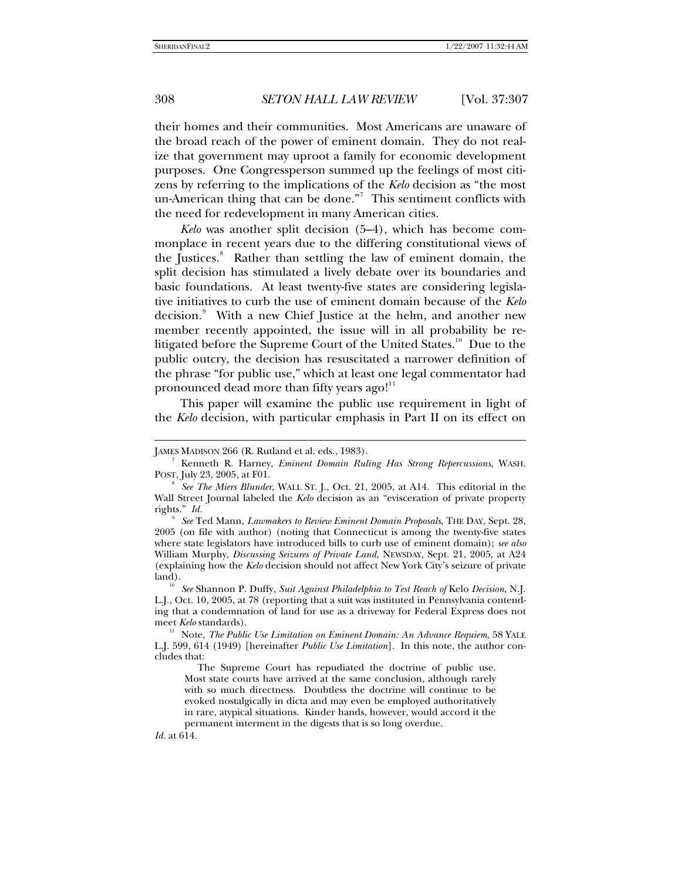their homes and their communities. Most Americans are unaware of the broad reach of the power of eminent domain. They do not realize that government may uproot a family for economic development purposes. One Congressperson summed up the feelings of most citizens by referring to the implications of the *Kelo* decision as "the most un-American thing that can be done." $7$  This sentiment conflicts with the need for redevelopment in many American cities.

*Kelo* was another split decision (5–4), which has become commonplace in recent years due to the differing constitutional views of the Justices.<sup>[8](#page-1-1)</sup> Rather than settling the law of eminent domain, the split decision has stimulated a lively debate over its boundaries and basic foundations. At least twenty-five states are considering legislative initiatives to curb the use of eminent domain because of the *Kelo* decision.<sup>[9](#page-1-2)</sup> With a new Chief Justice at the helm, and another new member recently appointed, the issue will in all probability be re-litigated before the Supreme Court of the United States.<sup>1[0](#page-1-3)</sup> Due to the public outcry, the decision has resuscitated a narrower definition of the phrase "for public use," which at least one legal commentator had pronounced dead more than fifty years ago!"

This paper will examine the public use requirement in light of the *Kelo* decision, with particular emphasis in Part II on its effect on

*Id.* at 614.

-

<span id="page-1-0"></span>JAMES MADISON 266 (R. Rutland et al. eds., 1983).

<sup>&</sup>lt;sup>7</sup> Kenneth R. Harney, *Eminent Domain Ruling Has Strong Repercussions*, WASH. POST, July 23, 2005, at F01.

<span id="page-1-1"></span><sup>8</sup> *See The Miers Blunder*, WALL ST. J., Oct. 21, 2005, at A14. This editorial in the Wall Street Journal labeled the *Kelo* decision as an "evisceration of private property rights." *Id.*

<span id="page-1-2"></span><sup>9</sup> *See* Ted Mann, *Lawmakers to Review Eminent Domain Proposals*, THE DAY, Sept. 28, 2005 (on file with author) (noting that Connecticut is among the twenty-five states where state legislators have introduced bills to curb use of eminent domain); *see also* William Murphy, *Discussing Seizures of Private Land*, NEWSDAY, Sept. 21, 2005, at A24 (explaining how the *Kelo* decision should not affect New York City's seizure of private land). 10 *See* Shannon P. Duffy, *Suit Against Philadelphia to Test Reach of* Kelo *Decision*, N.J.

<span id="page-1-3"></span>L.J., Oct. 10, 2005, at 78 (reporting that a suit was instituted in Pennsylvania contending that a condemnation of land for use as a driveway for Federal Express does not meet *Kelo* standards).<br><sup>11</sup> Note, *The Public Use Limitation on Eminent Domain: An Advance Requiem*, 58 YALE

<span id="page-1-4"></span>L.J. 599, 614 (1949) [hereinafter *Public Use Limitation*]. In this note, the author concludes that:

The Supreme Court has repudiated the doctrine of public use. Most state courts have arrived at the same conclusion, although rarely with so much directness. Doubtless the doctrine will continue to be evoked nostalgically in dicta and may even be employed authoritatively in rare, atypical situations. Kinder hands, however, would accord it the permanent interment in the digests that is so long overdue.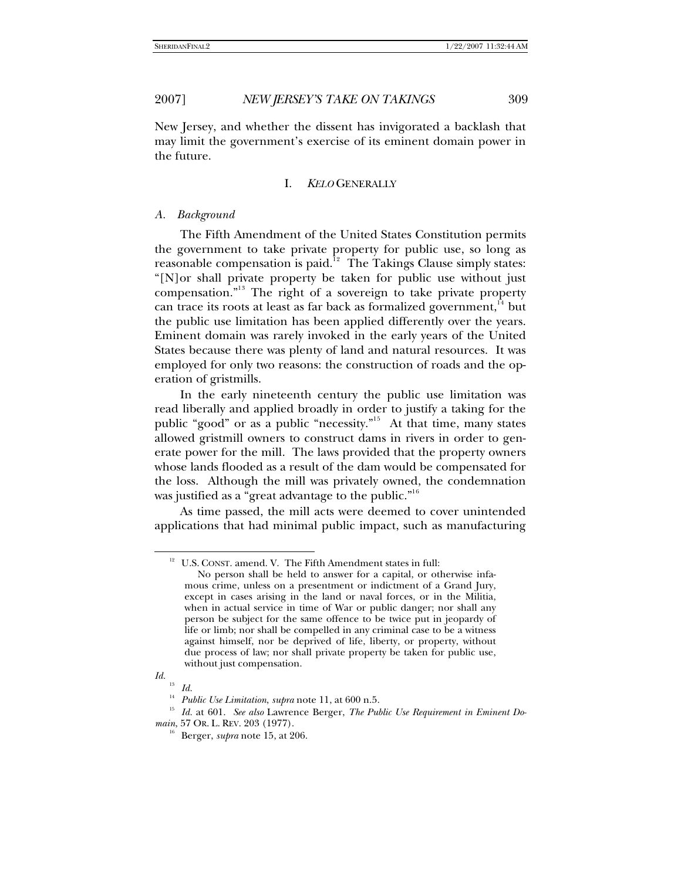New Jersey, and whether the dissent has invigorated a backlash that may limit the government's exercise of its eminent domain power in the future.

#### I. *KELO* GENERALLY

#### *A. Background*

The Fifth Amendment of the United States Constitution permits the government to take private property for public use, so long as reasonable compensation is paid. $12$  $12$  The Takings Clause simply states: "[N]or shall private property be taken for public use without just compensation."<sup>1[3](#page-2-1)</sup> The right of a sovereign to take private property can trace its roots at least as far back as formalized government, $14$  $14$  but the public use limitation has been applied differently over the years. Eminent domain was rarely invoked in the early years of the United States because there was plenty of land and natural resources. It was employed for only two reasons: the construction of roads and the operation of gristmills.

In the early nineteenth century the public use limitation was read liberally and applied broadly in order to justify a taking for the public "good" or as a public "necessity."<sup>1[5](#page-2-3)</sup> At that time, many states allowed gristmill owners to construct dams in rivers in order to generate power for the mill. The laws provided that the property owners whose lands flooded as a result of the dam would be compensated for the loss. Although the mill was privately owned, the condemnation was justified as a "great advantage to the public."<sup>1[6](#page-2-4)</sup>

<span id="page-2-0"></span>As time passed, the mill acts were deemed to cover unintended applications that had minimal public impact, such as manufacturing

<sup>&</sup>lt;sup>12</sup> U.S. CONST. amend. V. The Fifth Amendment states in full:

No person shall be held to answer for a capital, or otherwise infamous crime, unless on a presentment or indictment of a Grand Jury, except in cases arising in the land or naval forces, or in the Militia, when in actual service in time of War or public danger; nor shall any person be subject for the same offence to be twice put in jeopardy of life or limb; nor shall be compelled in any criminal case to be a witness against himself, nor be deprived of life, liberty, or property, without due process of law; nor shall private property be taken for public use, without just compensation.

<span id="page-2-1"></span>*Id.*

<sup>&</sup>lt;sup>13</sup> *Id.*<br><sup>14</sup> *Public Use Limitation, supra* note 11, at 600 n.5.

<span id="page-2-4"></span><span id="page-2-3"></span><span id="page-2-2"></span><sup>&</sup>lt;sup>15</sup> *Id.* at 601. See also Lawrence Berger, *The Public Use Requirement in Eminent Domain*, 57 Or. L. REV. 203 (1977).<br><sup>16</sup> Berger, *supra* note 15, at 206.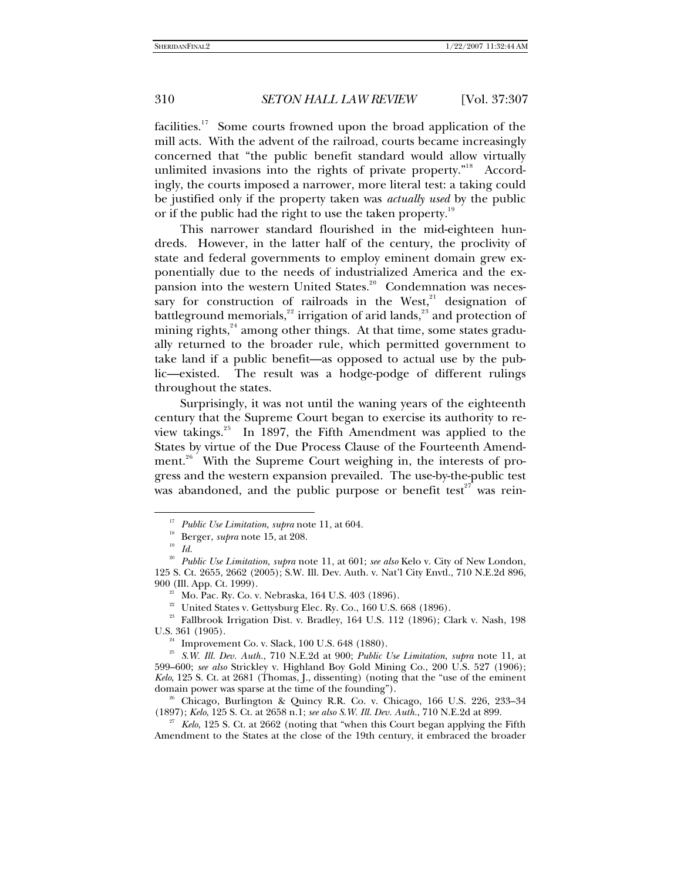facilities.<sup>1[7](#page-3-0)</sup> Some courts frowned upon the broad application of the mill acts. With the advent of the railroad, courts became increasingly concerned that "the public benefit standard would allow virtually unlimited invasions into the rights of private property."<sup>1[8](#page-3-1)</sup> Accordingly, the courts imposed a narrower, more literal test: a taking could be justified only if the property taken was *actually used* by the public or if the public had the right to use the taken property.<sup>1[9](#page-3-2)</sup>

This narrower standard flourished in the mid-eighteen hundreds. However, in the latter half of the century, the proclivity of state and federal governments to employ eminent domain grew exponentially due to the needs of industrialized America and the ex-pansion into the western United States.<sup>2[0](#page-3-3)</sup> Condemnation was necessary for construction of railroads in the West, $21$  $21$  designation of battleground memorials, $^{22}$  $^{22}$  $^{22}$  irrigation of arid lands, $^{23}$  $^{23}$  $^{23}$  and protection of mining rights,<sup>2[4](#page-3-7)</sup> among other things. At that time, some states gradually returned to the broader rule, which permitted government to take land if a public benefit—as opposed to actual use by the public—existed. The result was a hodge-podge of different rulings throughout the states.

Surprisingly, it was not until the waning years of the eighteenth century that the Supreme Court began to exercise its authority to re-view takings.<sup>2[5](#page-3-8)</sup> In 1897, the Fifth Amendment was applied to the States by virtue of the Due Process Clause of the Fourteenth Amend-ment.<sup>2[6](#page-3-9)</sup> With the Supreme Court weighing in, the interests of progress and the western expansion prevailed. The use-by-the-public test was abandoned, and the public purpose or benefit test $^{27}$  $^{27}$  $^{27}$  was rein-

<sup>&</sup>lt;sup>17</sup> Public Use Limitation, *supra* note 11, at 604.<br><sup>18</sup> Berger, *supra* note 15, at 208.<br>*Id.* 

<span id="page-3-3"></span><span id="page-3-2"></span><span id="page-3-1"></span><span id="page-3-0"></span><sup>20</sup> *Public Use Limitation*, *supra* note 11, at 601; *see also* Kelo v. City of New London, 125 S. Ct. 2655, 2662 (2005); S.W. Ill. Dev. Auth. v. Nat'l City Envtl., 710 N.E.2d 896, 900 (Ill. App. Ct. 1999). 21 Mo. Pac. Ry. Co. v. Nebraska, 164 U.S. 403 (1896).

 $22$  United States v. Gettysburg Elec. Ry. Co., 160 U.S. 668 (1896).

<span id="page-3-6"></span><span id="page-3-5"></span><span id="page-3-4"></span><sup>&</sup>lt;sup>23</sup> Fallbrook Irrigation Dist. v. Bradley, 164 U.S. 112 (1896); Clark v. Nash, 198 U.S. 361 (1905).

<span id="page-3-8"></span><span id="page-3-7"></span> <sup>24</sup> Improvement Co. v. Slack, 100 U.S. 648 (1880). 25 *S.W. Ill. Dev. Auth.*, 710 N.E.2d at 900; *Public Use Limitation*, *supra* note 11, at 599–600; *see also* Strickley v. Highland Boy Gold Mining Co., 200 U.S. 527 (1906); *Kelo*, 125 S. Ct. at 2681 (Thomas, J., dissenting) (noting that the "use of the eminent

<span id="page-3-9"></span><sup>&</sup>lt;sup>26</sup> Chicago, Burlington & Quincy R.R. Co. v. Chicago, 166 U.S. 226, 233–34 (1897); *Kelo*, 125 S. Ct. at 2658 n.1; *see also S.W. Ill. Dev. Auth.*, 710 N.E.2d at 899. 27 *Kelo*, 125 S. Ct. at 2662 (noting that "when this Court began applying the Fifth

<span id="page-3-10"></span>Amendment to the States at the close of the 19th century, it embraced the broader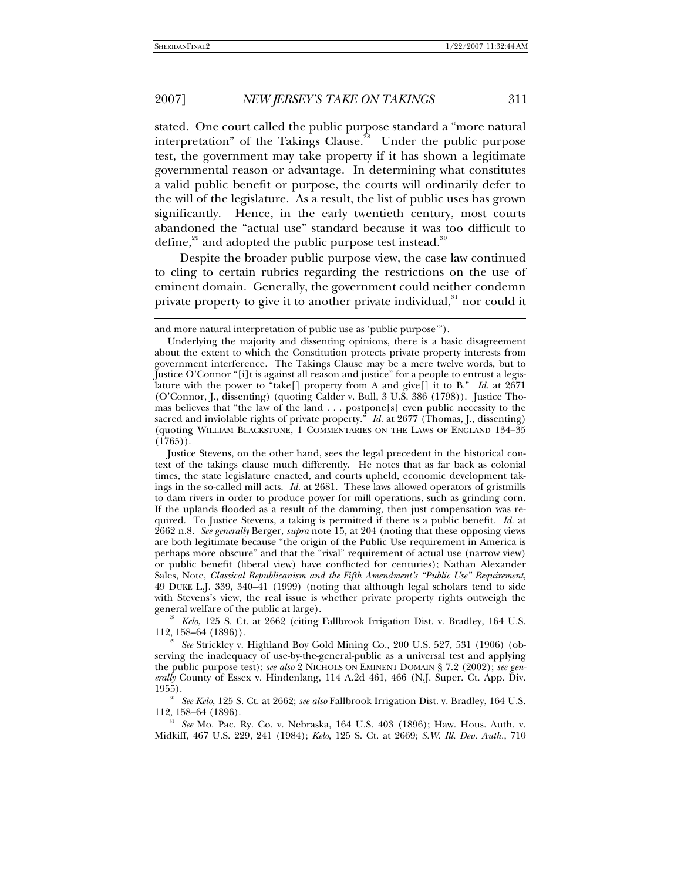$\overline{a}$ 

### 2007] *NEW JERSEY'S TAKE ON TAKINGS* 311

stated. One court called the public purpose standard a "more natural interpretation" of the Takings Clause.<sup>2[8](#page-4-0)</sup> Under the public purpose test, the government may take property if it has shown a legitimate governmental reason or advantage. In determining what constitutes a valid public benefit or purpose, the courts will ordinarily defer to the will of the legislature. As a result, the list of public uses has grown significantly. Hence, in the early twentieth century, most courts abandoned the "actual use" standard because it was too difficult to define, $^{\rm 29}$  $^{\rm 29}$  $^{\rm 29}$  and adopted the public purpose test instead. $^{\rm 30}$  $^{\rm 30}$  $^{\rm 30}$ 

Despite the broader public purpose view, the case law continued to cling to certain rubrics regarding the restrictions on the use of eminent domain. Generally, the government could neither condemn private property to give it to another private individual, $31$  $31$  nor could it

<span id="page-4-0"></span><sup>28</sup>*Kelo*, 125 S. Ct. at 2662 (citing Fallbrook Irrigation Dist. v. Bradley, 164 U.S. 112, 158–64 (1896)).

<span id="page-4-3"></span><span id="page-4-2"></span>112, 158–64 (1896). 31 *See* Mo. Pac. Ry. Co. v. Nebraska, 164 U.S. 403 (1896); Haw. Hous. Auth. v. Midkiff, 467 U.S. 229, 241 (1984); *Kelo*, 125 S. Ct. at 2669; *S.W. Ill. Dev. Auth.*, 710

and more natural interpretation of public use as 'public purpose'").

Underlying the majority and dissenting opinions, there is a basic disagreement about the extent to which the Constitution protects private property interests from government interference. The Takings Clause may be a mere twelve words, but to Justice O'Connor "[i]t is against all reason and justice" for a people to entrust a legislature with the power to "take[] property from A and give[] it to B." *Id.* at 2671 (O'Connor, J., dissenting) (quoting Calder v. Bull, 3 U.S. 386 (1798)). Justice Thomas believes that "the law of the land . . . postpone[s] even public necessity to the sacred and inviolable rights of private property." *Id.* at 2677 (Thomas, J., dissenting) (quoting WILLIAM BLACKSTONE, 1 COMMENTARIES ON THE LAWS OF ENGLAND 134–35  $(1765)$ .

Justice Stevens, on the other hand, sees the legal precedent in the historical context of the takings clause much differently. He notes that as far back as colonial times, the state legislature enacted, and courts upheld, economic development takings in the so-called mill acts. *Id.* at 2681. These laws allowed operators of gristmills to dam rivers in order to produce power for mill operations, such as grinding corn. If the uplands flooded as a result of the damming, then just compensation was required. To Justice Stevens, a taking is permitted if there is a public benefit. *Id.* at 2662 n.8. *See generally* Berger, *supra* note 15, at 204 (noting that these opposing views are both legitimate because "the origin of the Public Use requirement in America is perhaps more obscure" and that the "rival" requirement of actual use (narrow view) or public benefit (liberal view) have conflicted for centuries); Nathan Alexander Sales, Note, *Classical Republicanism and the Fifth Amendment's "Public Use" Requirement*, 49 DUKE L.J. 339, 340–41 (1999) (noting that although legal scholars tend to side with Stevens's view, the real issue is whether private property rights outweigh the general welfare of the public at large).

<span id="page-4-1"></span><sup>29</sup> *See* Strickley v. Highland Boy Gold Mining Co., 200 U.S. 527, 531 (1906) (observing the inadequacy of use-by-the-general-public as a universal test and applying the public purpose test); *see also* 2 NICHOLS ON EMINENT DOMAIN § 7.2 (2002); *see generally* County of Essex v. Hindenlang, 114 A.2d 461, 466 (N.J. Super. Ct. App. Div. 1955). 30 *See Kelo*, 125 S. Ct. at 2662; *see also* Fallbrook Irrigation Dist. v. Bradley, 164 U.S.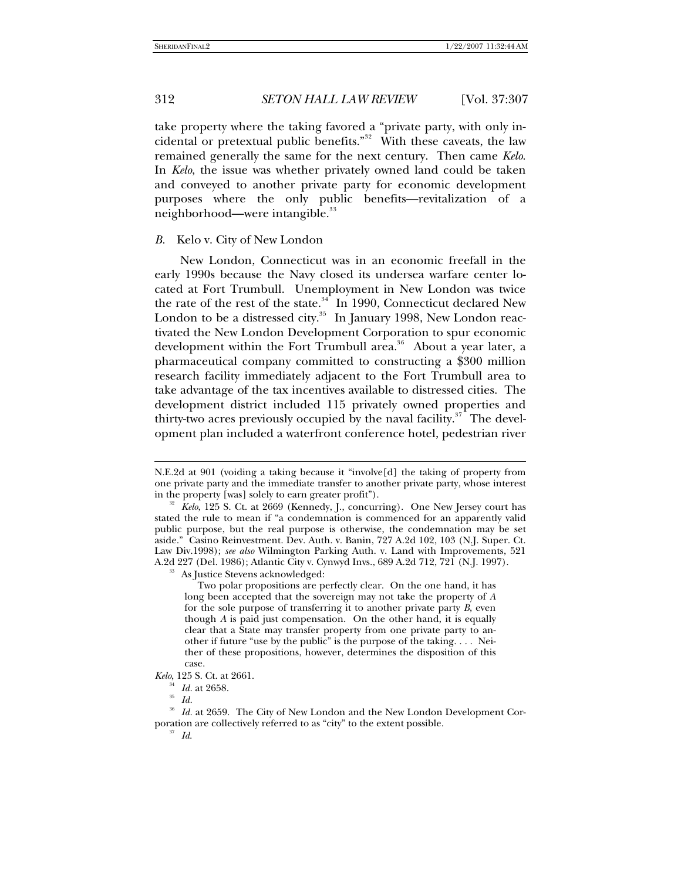take property where the taking favored a "private party, with only in-cidental or pretextual public benefits."<sup>3[2](#page-5-0)</sup> With these caveats, the law remained generally the same for the next century. Then came *Kelo*. In *Kelo*, the issue was whether privately owned land could be taken and conveyed to another private party for economic development purposes where the only public benefits—revitalization of a neighborhood—were intangible.<sup>[3](#page-5-1)3</sup>

#### *B.* Kelo v. City of New London

New London, Connecticut was in an economic freefall in the early 1990s because the Navy closed its undersea warfare center located at Fort Trumbull. Unemployment in New London was twice the rate of the rest of the state. $34$  $34$  In 1990, Connecticut declared New London to be a distressed city. $35$  $35$  In January 1998, New London reactivated the New London Development Corporation to spur economic development within the Fort Trumbull area.<sup>3[6](#page-5-4)</sup> About a year later, a pharmaceutical company committed to constructing a \$300 million research facility immediately adjacent to the Fort Trumbull area to take advantage of the tax incentives available to distressed cities. The development district included 115 privately owned properties and thirty-two acres previously occupied by the naval facility.<sup>3[7](#page-5-5)</sup> The development plan included a waterfront conference hotel, pedestrian river

 Two polar propositions are perfectly clear. On the one hand, it has long been accepted that the sovereign may not take the property of *A* for the sole purpose of transferring it to another private party *B*, even though *A* is paid just compensation. On the other hand, it is equally clear that a State may transfer property from one private party to another if future "use by the public" is the purpose of the taking. . . . Neither of these propositions, however, determines the disposition of this case.

<span id="page-5-2"></span>*Kelo*, 125 S. Ct. at 2661.

 $\overline{a}$ 

<span id="page-5-5"></span><span id="page-5-4"></span><span id="page-5-3"></span><sup>36</sup> *Id.* at 2659. The City of New London and the New London Development Corporation are collectively referred to as "city" to the extent possible. 37 *Id*.

N.E.2d at 901 (voiding a taking because it "involve[d] the taking of property from one private party and the immediate transfer to another private party, whose interest

<span id="page-5-1"></span><span id="page-5-0"></span>in the property [was] solely to earn greater profit"). 32 *Kelo*, 125 S. Ct. at 2669 (Kennedy, J., concurring). One New Jersey court has stated the rule to mean if "a condemnation is commenced for an apparently valid public purpose, but the real purpose is otherwise, the condemnation may be set aside." Casino Reinvestment. Dev. Auth. v. Banin, 727 A.2d 102, 103 (N.J. Super. Ct. Law Div.1998); *see also* Wilmington Parking Auth. v. Land with Improvements, 521 A.2d 227 (Del. 1986); Atlantic City v. Cynwyd Invs., 689 A.2d 712, 721 (N.J. 1997). 33 As Justice Stevens acknowledged:

<sup>34</sup> *Id.* at 2658. 35 *Id.*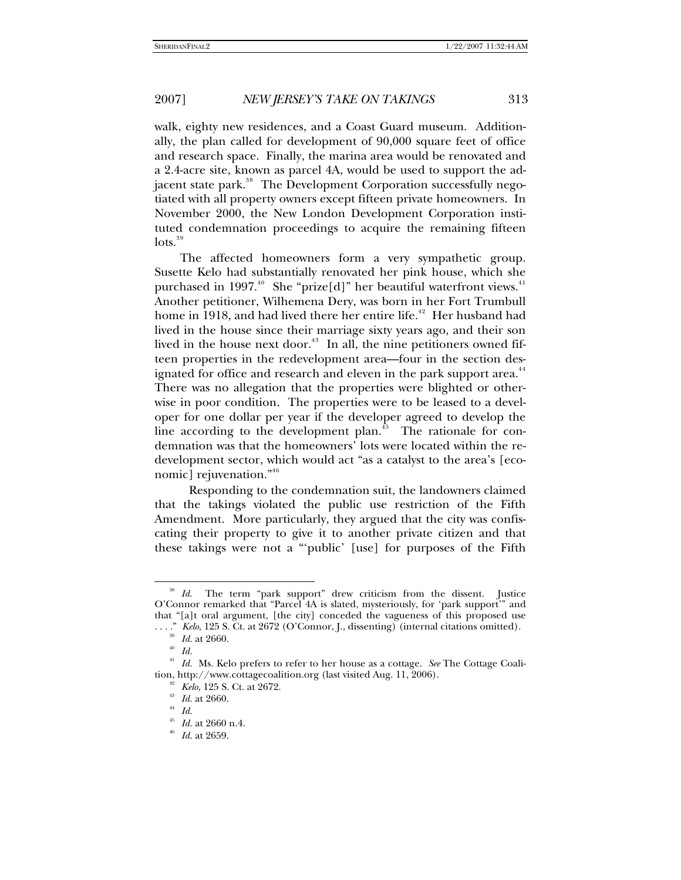walk, eighty new residences, and a Coast Guard museum. Additionally, the plan called for development of 90,000 square feet of office and research space. Finally, the marina area would be renovated and a 2.4-acre site, known as parcel 4A, would be used to support the adjacent state park. $^\mathrm{38}$  $^\mathrm{38}$  $^\mathrm{38}$  The Development Corporation successfully negotiated with all property owners except fifteen private homeowners. In November 2000, the New London Development Corporation instituted condemnation proceedings to acquire the remaining fifteen  $\frac{1}{10}$ 

The affected homeowners form a very sympathetic group. Susette Kelo had substantially renovated her pink house, which she purchased in 1997.<sup>4[0](#page-6-2)</sup> She "prize[d]" her beautiful waterfront views.<sup>4[1](#page-6-3)</sup> Another petitioner, Wilhemena Dery, was born in her Fort Trumbull home in 1918, and had lived there her entire life. $^{42}$  $^{42}$  $^{42}$  Her husband had lived in the house since their marriage sixty years ago, and their son lived in the house next door.<sup>4[3](#page-6-5)</sup> In all, the nine petitioners owned fifteen properties in the redevelopment area—four in the section des-ignated for office and research and eleven in the park support area.<sup>[4](#page-6-6)4</sup> There was no allegation that the properties were blighted or otherwise in poor condition. The properties were to be leased to a developer for one dollar per year if the developer agreed to develop the line according to the development plan.<sup>4[5](#page-6-7)</sup> The rationale for condemnation was that the homeowners' lots were located within the redevelopment sector, which would act "as a catalyst to the area's [eco-nomic] rejuvenation."<sup>4[6](#page-6-8)</sup>

 Responding to the condemnation suit, the landowners claimed that the takings violated the public use restriction of the Fifth Amendment. More particularly, they argued that the city was confiscating their property to give it to another private citizen and that these takings were not a "'public' [use] for purposes of the Fifth

<span id="page-6-0"></span><sup>&</sup>lt;sup>38</sup> *Id.* The term "park support" drew criticism from the dissent. Justice O'Connor remarked that "Parcel 4A is slated, mysteriously, for 'park support'" and that "[a]t oral argument, [the city] conceded the vagueness of this proposed use

<sup>.&</sup>quot; *Kelo*, 125 S. Ct. at 2672 (O'Connor, J., dissenting) (internal citations omitted).<br><sup>39</sup> *Id.* at 2660.<br><sup>40</sup> *Id* 

<span id="page-6-7"></span><span id="page-6-6"></span><span id="page-6-5"></span><span id="page-6-4"></span><span id="page-6-3"></span><span id="page-6-2"></span><span id="page-6-1"></span><sup>41</sup>*Id.* Ms. Kelo prefers to refer to her house as a cottage. *See* The Cottage Coalition, http://www.cottagecoalition.org (last visited Aug. 11, 2006).

<sup>42</sup>*Kelo*, 125 S. Ct. at 2672. 43 *Id.* at 2660. 44 *Id.*

<span id="page-6-8"></span><sup>45</sup>*Id.* at 2660 n.4. 46 *Id.* at 2659.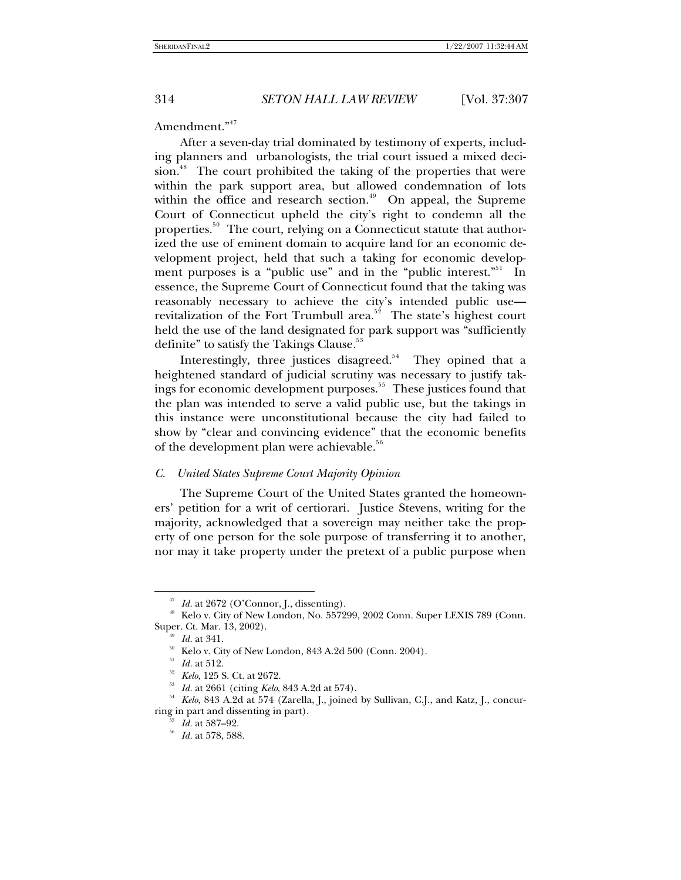## Amendment."<sup>4[7](#page-7-0)</sup>

After a seven-day trial dominated by testimony of experts, including planners and urbanologists, the trial court issued a mixed deci-sion.<sup>4[8](#page-7-1)</sup> The court prohibited the taking of the properties that were within the park support area, but allowed condemnation of lots within the office and research section.<sup>4[9](#page-7-2)</sup> On appeal, the Supreme Court of Connecticut upheld the city's right to condemn all the properties.<sup>5[0](#page-7-3)</sup> The court, relying on a Connecticut statute that authorized the use of eminent domain to acquire land for an economic development project, held that such a taking for economic develop-ment purposes is a "public use" and in the "public interest."<sup>5[1](#page-7-4)</sup> In essence, the Supreme Court of Connecticut found that the taking was reasonably necessary to achieve the city's intended public use— revitalization of the Fort Trumbull area.<sup>5[2](#page-7-5)</sup> The state's highest court held the use of the land designated for park support was "sufficiently definite" to satisfy the Takings Clause.<sup>5[3](#page-7-6)</sup>

Interestingly, three justices disagreed.<sup>5[4](#page-7-7)</sup> They opined that a heightened standard of judicial scrutiny was necessary to justify tak-ings for economic development purposes.<sup>[5](#page-7-8)5</sup> These justices found that the plan was intended to serve a valid public use, but the takings in this instance were unconstitutional because the city had failed to show by "clear and convincing evidence" that the economic benefits of the development plan were achievable.<sup>5[6](#page-7-9)</sup>

#### *C. United States Supreme Court Majority Opinion*

The Supreme Court of the United States granted the homeowners' petition for a writ of certiorari. Justice Stevens, writing for the majority, acknowledged that a sovereign may neither take the property of one person for the sole purpose of transferring it to another, nor may it take property under the pretext of a public purpose when

<span id="page-7-1"></span><span id="page-7-0"></span> $^{47}$  *Id.* at 2672 (O'Connor, J., dissenting).<br> $^{48}$  Kelo v. City of New London, No. 557299, 2002 Conn. Super LEXIS 789 (Conn. Super. Ct. Mar. 13, 2002).<br><sup>49</sup> *Id.* at 341.

<span id="page-7-7"></span><span id="page-7-6"></span><span id="page-7-5"></span><span id="page-7-4"></span><span id="page-7-3"></span><span id="page-7-2"></span><sup>&</sup>lt;sup>50</sup> Kelo v. City of New London, 843 A.2d 500 (Conn. 2004).<br><sup>51</sup> *Id.* at 512.<br><sup>52</sup> *Kelo*, 125 S. Ct. at 2672.<br><sup>53</sup> *Id.* at 2661 (citing *Kelo*, 843 A.2d at 574).<br><sup>54</sup> *Kelo*, 843 A.2d at 574 (Zarella, J., joined by Sul ring in part and dissenting in part).

<span id="page-7-9"></span><span id="page-7-8"></span><sup>55</sup>*Id.* at 587–92. 56 *Id.* at 578, 588.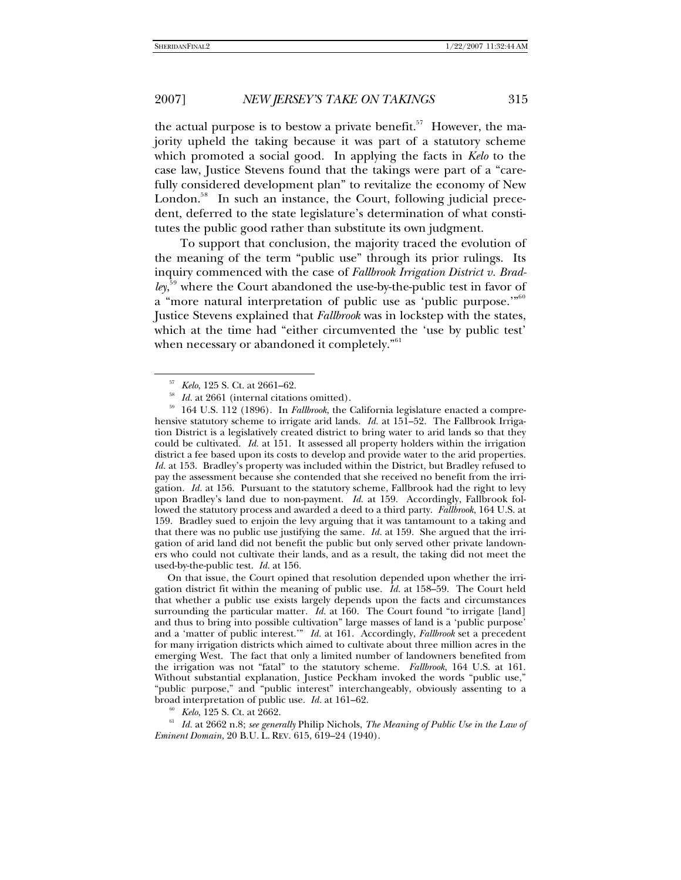the actual purpose is to bestow a private benefit.<sup>5[7](#page-8-0)</sup> However, the majority upheld the taking because it was part of a statutory scheme which promoted a social good. In applying the facts in *Kelo* to the case law, Justice Stevens found that the takings were part of a "carefully considered development plan" to revitalize the economy of New London.<sup>5[8](#page-8-1)</sup> In such an instance, the Court, following judicial precedent, deferred to the state legislature's determination of what constitutes the public good rather than substitute its own judgment.

To support that conclusion, the majority traced the evolution of the meaning of the term "public use" through its prior rulings. Its inquiry commenced with the case of *Fallbrook Irrigation District v. Bradley*, 5[9](#page-8-2) where the Court abandoned the use-by-the-public test in favor of a "more natural interpretation of public use as 'public purpose.'"<sup>6[0](#page-8-3)</sup> Justice Stevens explained that *Fallbrook* was in lockstep with the states, which at the time had "either circumvented the 'use by public test' when necessary or abandoned it completely."<sup>6[1](#page-8-4)</sup>

l

<span id="page-8-2"></span><span id="page-8-1"></span><span id="page-8-0"></span><sup>57</sup> *Kelo*, 125 S. Ct. at 2661–62. 58 *Id.* at 2661 (internal citations omitted). 59 164 U.S. 112 (1896). In *Fallbrook*, the California legislature enacted a comprehensive statutory scheme to irrigate arid lands. *Id.* at 151–52. The Fallbrook Irrigation District is a legislatively created district to bring water to arid lands so that they could be cultivated. *Id.* at 151. It assessed all property holders within the irrigation district a fee based upon its costs to develop and provide water to the arid properties. *Id.* at 153. Bradley's property was included within the District, but Bradley refused to pay the assessment because she contended that she received no benefit from the irrigation. *Id.* at 156. Pursuant to the statutory scheme, Fallbrook had the right to levy upon Bradley's land due to non-payment. *Id.* at 159. Accordingly, Fallbrook followed the statutory process and awarded a deed to a third party. *Fallbrook*, 164 U.S. at 159. Bradley sued to enjoin the levy arguing that it was tantamount to a taking and that there was no public use justifying the same. *Id.* at 159. She argued that the irrigation of arid land did not benefit the public but only served other private landowners who could not cultivate their lands, and as a result, the taking did not meet the used-by-the-public test. *Id.* at 156.

 On that issue, the Court opined that resolution depended upon whether the irrigation district fit within the meaning of public use. *Id.* at 158–59. The Court held that whether a public use exists largely depends upon the facts and circumstances surrounding the particular matter. *Id.* at 160. The Court found "to irrigate [land] and thus to bring into possible cultivation" large masses of land is a 'public purpose' and a 'matter of public interest.'" *Id.* at 161. Accordingly, *Fallbrook* set a precedent for many irrigation districts which aimed to cultivate about three million acres in the emerging West. The fact that only a limited number of landowners benefited from the irrigation was not "fatal" to the statutory scheme. *Fallbrook*, 164 U.S. at 161. Without substantial explanation, Justice Peckham invoked the words "public use," "public purpose," and "public interest" interchangeably, obviously assenting to a

<span id="page-8-4"></span><span id="page-8-3"></span>broad interpretation of public use. *Id.* at 161–62.<br><sup>60</sup> *Kelo*, 125 S. Ct. at 2662.<br><sup>61</sup> *Id.* at 2662 n.8; *see generally* Philip Nichols, *The Meaning of Public Use in the Law of Eminent Domain*, 20 B.U. L. REV. 615, 619–24 (1940).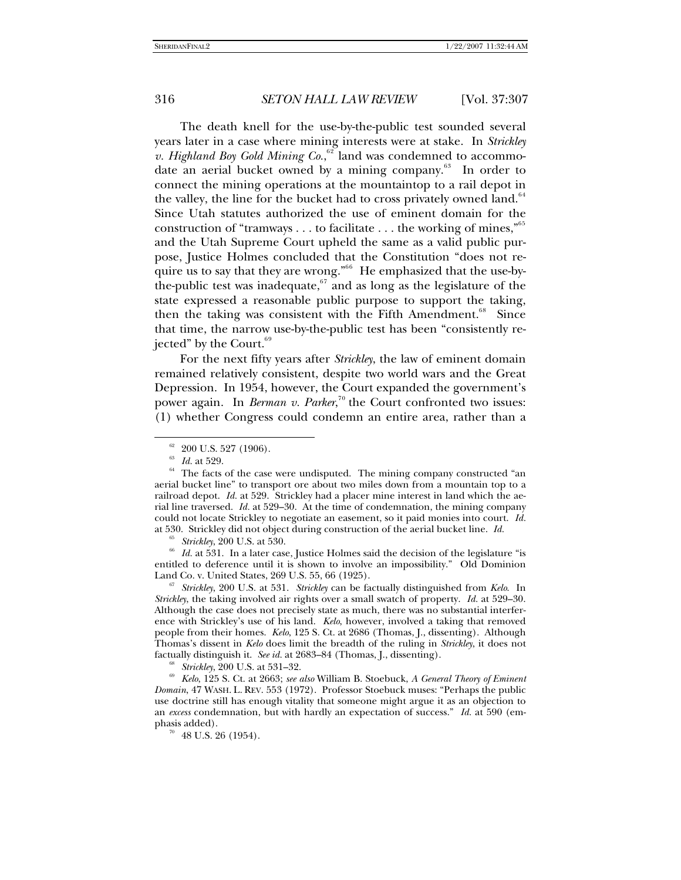The death knell for the use-by-the-public test sounded several years later in a case where mining interests were at stake. In *Strickley*  v. Highland Boy Gold Mining Co.,<sup>6[2](#page-9-0)</sup> land was condemned to accommo-date an aerial bucket owned by a mining company.<sup>6[3](#page-9-1)</sup> In order to connect the mining operations at the mountaintop to a rail depot in the valley, the line for the bucket had to cross privately owned land.<sup>6[4](#page-9-2)</sup> Since Utah statutes authorized the use of eminent domain for the construction of "tramways  $\dots$  to facilitate  $\dots$  the working of mines,"<sup>6[5](#page-9-3)</sup> and the Utah Supreme Court upheld the same as a valid public purpose, Justice Holmes concluded that the Constitution "does not require us to say that they are wrong."6[6](#page-9-4) He emphasized that the use-bythe-public test was inadequate, $67$  $67$  and as long as the legislature of the state expressed a reasonable public purpose to support the taking, then the taking was consistent with the Fifth Amendment.<sup>6[8](#page-9-6)</sup> Since that time, the narrow use-by-the-public test has been "consistently rejected" by the Court. $69$  $69$ 

For the next fifty years after *Strickley*, the law of eminent domain remained relatively consistent, despite two world wars and the Great Depression. In 1954, however, the Court expanded the government's power again. In *Berman v. Parker*,<sup>7[0](#page-9-8)</sup> the Court confronted two issues: (1) whether Congress could condemn an entire area, rather than a

l

<span id="page-9-4"></span><span id="page-9-3"></span><sup>65</sup> *Strickley*, 200 U.S. at 530. 66 *Id.* at 531. In a later case, Justice Holmes said the decision of the legislature "is entitled to deference until it is shown to involve an impossibility." Old Dominion

<span id="page-9-5"></span>Land Co. v. United States, 269 U.S. 55, 66 (1925). 67 *Strickley*, 200 U.S. at 531. *Strickley* can be factually distinguished from *Kelo*. In *Strickley*, the taking involved air rights over a small swatch of property. *Id.* at 529–30. Although the case does not precisely state as much, there was no substantial interference with Strickley's use of his land. *Kelo*, however, involved a taking that removed people from their homes. *Kelo*, 125 S. Ct. at 2686 (Thomas, J., dissenting). Although Thomas's dissent in *Kelo* does limit the breadth of the ruling in *Strickley*, it does not

<span id="page-9-2"></span><span id="page-9-1"></span><span id="page-9-0"></span><sup>&</sup>lt;sup>62</sup> 200 U.S. 527 (1906).<br><sup>63</sup> *Id.* at 529.<br><sup>64</sup> The facts of the case were undisputed. The mining company constructed "an aerial bucket line" to transport ore about two miles down from a mountain top to a railroad depot. *Id.* at 529. Strickley had a placer mine interest in land which the aerial line traversed. *Id.* at 529–30. At the time of condemnation, the mining company could not locate Strickley to negotiate an easement, so it paid monies into court. *Id.* at 530. Strickley did not object during construction of the aerial bucket line. *Id.*

<span id="page-9-8"></span><span id="page-9-7"></span><span id="page-9-6"></span><sup>&</sup>lt;sup>68</sup> *Strickley*, 200 U.S. at 531–32.<br><sup>69</sup> *Kelo*, 125 S. Ct. at 2663; *see also* William B. Stoebuck, A General Theory of Eminent *Domain*, 47 WASH. L. REV. 553 (1972). Professor Stoebuck muses: "Perhaps the public use doctrine still has enough vitality that someone might argue it as an objection to an *excess* condemnation, but with hardly an expectation of success." *Id.* at 590 (emphasis added).

 $70$  48 U.S. 26 (1954).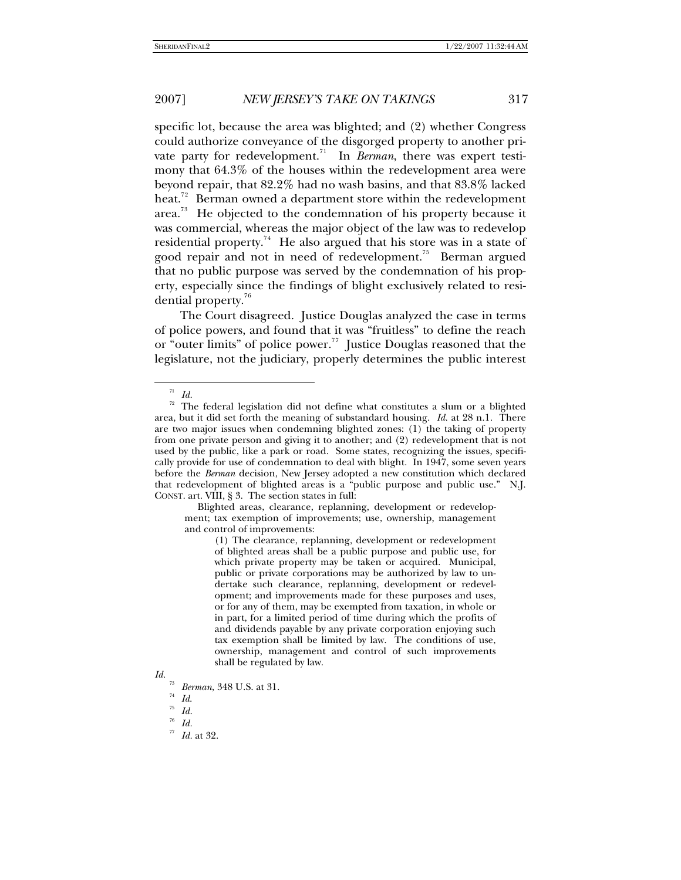specific lot, because the area was blighted; and (2) whether Congress could authorize conveyance of the disgorged property to another pri-vate party for redevelopment.<sup>7[1](#page-10-0)</sup> In *Berman*, there was expert testimony that 64.3% of the houses within the redevelopment area were beyond repair, that 82.2% had no wash basins, and that 83.8% lacked heat.<sup>7[2](#page-10-1)</sup> Berman owned a department store within the redevelopment area.<sup>7[3](#page-10-2)</sup> He objected to the condemnation of his property because it was commercial, whereas the major object of the law was to redevelop residential property.<sup>7[4](#page-10-3)</sup> He also argued that his store was in a state of good repair and not in need of redevelopment.<sup>7[5](#page-10-4)</sup> Berman argued that no public purpose was served by the condemnation of his property, especially since the findings of blight exclusively related to resi-dential property.<sup>7[6](#page-10-5)</sup>

The Court disagreed. Justice Douglas analyzed the case in terms of police powers, and found that it was "fruitless" to define the reach or "outer limits" of police power.<sup>[7](#page-10-6)7</sup> Justice Douglas reasoned that the legislature, not the judiciary, properly determines the public interest

l

 Blighted areas, clearance, replanning, development or redevelopment; tax exemption of improvements; use, ownership, management and control of improvements:

(1) The clearance, replanning, development or redevelopment of blighted areas shall be a public purpose and public use, for which private property may be taken or acquired. Municipal, public or private corporations may be authorized by law to undertake such clearance, replanning, development or redevelopment; and improvements made for these purposes and uses, or for any of them, may be exempted from taxation, in whole or in part, for a limited period of time during which the profits of and dividends payable by any private corporation enjoying such tax exemption shall be limited by law. The conditions of use, ownership, management and control of such improvements shall be regulated by law.

 $\overline{a}$ *Id.* 

<span id="page-10-1"></span><span id="page-10-0"></span> $72$  The federal legislation did not define what constitutes a slum or a blighted area, but it did set forth the meaning of substandard housing. *Id.* at 28 n.1. There are two major issues when condemning blighted zones: (1) the taking of property from one private person and giving it to another; and (2) redevelopment that is not used by the public, like a park or road. Some states, recognizing the issues, specifically provide for use of condemnation to deal with blight. In 1947, some seven years before the *Berman* decision, New Jersey adopted a new constitution which declared that redevelopment of blighted areas is a "public purpose and public use." N.J. CONST. art. VIII, § 3. The section states in full:

<span id="page-10-6"></span><span id="page-10-5"></span><span id="page-10-4"></span><span id="page-10-3"></span><span id="page-10-2"></span>*Id.*

<sup>73</sup>*Berman*, 348 U.S. at 31. 74 *Id*. 75 *Id.*

<sup>76</sup>*Id.*

<sup>77</sup> *Id.* at 32.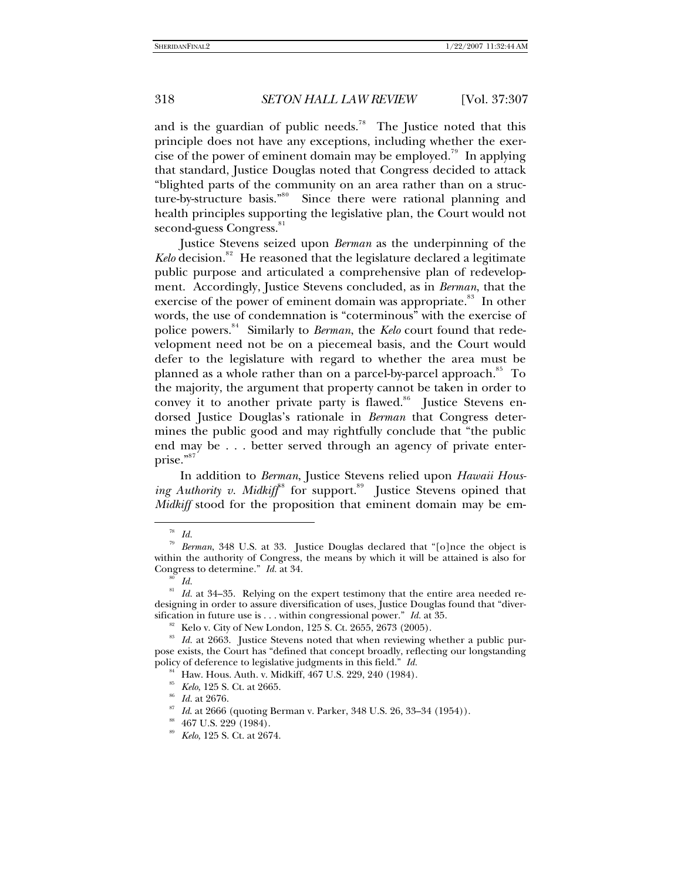and is the guardian of public needs.<sup>7[8](#page-11-0)</sup> The Justice noted that this principle does not have any exceptions, including whether the exer-cise of the power of eminent domain may be employed.<sup>7[9](#page-11-1)</sup> In applying that standard, Justice Douglas noted that Congress decided to attack "blighted parts of the community on an area rather than on a struc-ture-by-structure basis."<sup>8[0](#page-11-2)</sup> Since there were rational planning and health principles supporting the legislative plan, the Court would not second-guess Congress.<sup>8[1](#page-11-3)</sup>

Justice Stevens seized upon *Berman* as the underpinning of the Kelo decision.<sup>8[2](#page-11-4)</sup> He reasoned that the legislature declared a legitimate public purpose and articulated a comprehensive plan of redevelopment. Accordingly, Justice Stevens concluded, as in *Berman*, that the exercise of the power of eminent domain was appropriate.<sup>8[3](#page-11-5)</sup> In other words, the use of condemnation is "coterminous" with the exercise of police powers.<sup>8[4](#page-11-6)</sup> Similarly to *Berman*, the *Kelo* court found that redevelopment need not be on a piecemeal basis, and the Court would defer to the legislature with regard to whether the area must be planned as a whole rather than on a parcel-by-parcel approach.<sup>8[5](#page-11-7)</sup> To the majority, the argument that property cannot be taken in order to convey it to another private party is flawed.<sup>8[6](#page-11-8)</sup> Justice Stevens endorsed Justice Douglas's rationale in *Berman* that Congress determines the public good and may rightfully conclude that "the public end may be . . . better served through an agency of private enter-prise."<sup>8[7](#page-11-9)</sup>

In addition to *Berman*, Justice Stevens relied upon *Hawaii Hous-*ing Authority v. Midkiff<sup>[8](#page-11-10)8</sup> for support.<sup>8[9](#page-11-11)</sup> Justice Stevens opined that *Midkiff* stood for the proposition that eminent domain may be em-

<sup>78</sup> *Id.*

<span id="page-11-1"></span><span id="page-11-0"></span><sup>79</sup> *Berman*, 348 U.S. at 33. Justice Douglas declared that "[o]nce the object is within the authority of Congress, the means by which it will be attained is also for Congress to determine."  $Id$  at 34. Congress to determine." *Id.* at 34.  $\frac{80}{Id}$ .

<span id="page-11-3"></span><span id="page-11-2"></span><sup>&</sup>lt;sup>81</sup> *Id.* at 34–35. Relying on the expert testimony that the entire area needed redesigning in order to assure diversification of uses, Justice Douglas found that "diver-<br>sification in future use is . . . within congressional power." *Id.* at 35.

<span id="page-11-7"></span><span id="page-11-6"></span><span id="page-11-5"></span><span id="page-11-4"></span><sup>&</sup>lt;sup>82</sup> Kelo v. City of New London, 125 S. Ct. 2655, 2673 (2005).<br><sup>83</sup> Id. at 2663. Justice Stevens noted that when reviewing whether a public purpose exists, the Court has "defined that concept broadly, reflecting our longstanding policy of deference to legislative judgments in this field." *Id.*

<sup>&</sup>lt;sup>84</sup> Haw. Hous. Auth. v. Midkiff, 467 U.S. 229, 240 (1984).<br><sup>85</sup> *Kelo*, 125 S. Ct. at 2665.

<span id="page-11-9"></span>

<span id="page-11-8"></span><sup>&</sup>lt;sup>86</sup> *Id.* at 2676.<br><sup>87</sup> *Id.* at 2666 (quoting Berman v. Parker, 348 U.S. 26, 33–34 (1954)).<br><sup>88</sup> *Kelo*, 125 S. Ct. at 2674.

<span id="page-11-11"></span><span id="page-11-10"></span>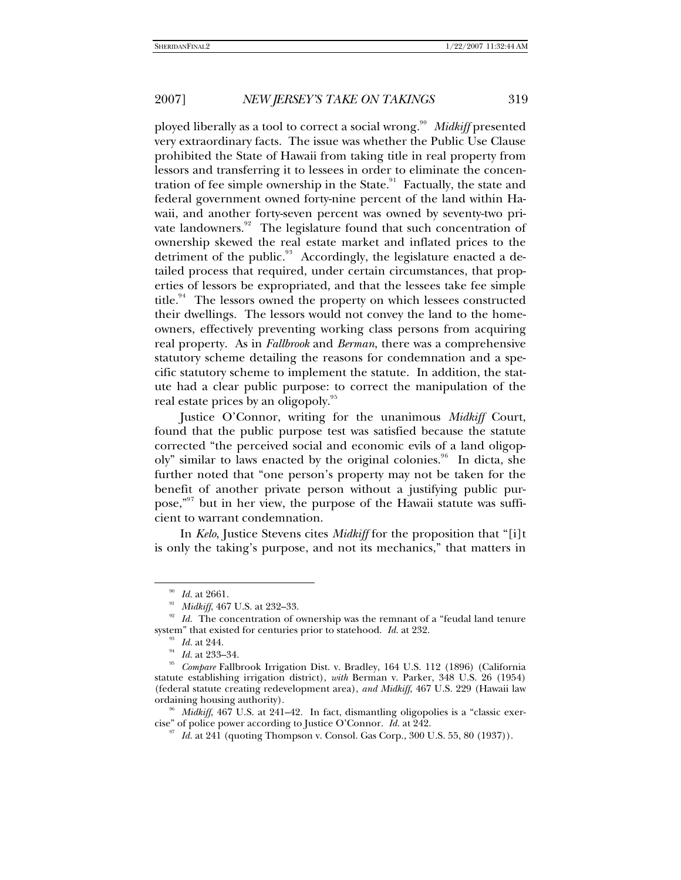ployed liberally as a tool to correct a social wrong.<sup>9[0](#page-12-0)</sup> Midkiff presented very extraordinary facts. The issue was whether the Public Use Clause prohibited the State of Hawaii from taking title in real property from lessors and transferring it to lessees in order to eliminate the concen-tration of fee simple ownership in the State.<sup>9[1](#page-12-1)</sup> Factually, the state and federal government owned forty-nine percent of the land within Hawaii, and another forty-seven percent was owned by seventy-two pri-vate landowners.<sup>9[2](#page-12-2)</sup> The legislature found that such concentration of ownership skewed the real estate market and inflated prices to the detriment of the public.<sup>9[3](#page-12-3)</sup> Accordingly, the legislature enacted a detailed process that required, under certain circumstances, that properties of lessors be expropriated, and that the lessees take fee simple title.<sup>9[4](#page-12-4)</sup> The lessors owned the property on which lessees constructed their dwellings. The lessors would not convey the land to the homeowners, effectively preventing working class persons from acquiring real property. As in *Fallbrook* and *Berman*, there was a comprehensive statutory scheme detailing the reasons for condemnation and a specific statutory scheme to implement the statute. In addition, the statute had a clear public purpose: to correct the manipulation of the real estate prices by an oligopoly.<sup>9[5](#page-12-5)</sup>

Justice O'Connor, writing for the unanimous *Midkiff* Court, found that the public purpose test was satisfied because the statute corrected "the perceived social and economic evils of a land oligop-oly" similar to laws enacted by the original colonies.<sup>9[6](#page-12-6)</sup> In dicta, she further noted that "one person's property may not be taken for the benefit of another private person without a justifying public pur-pose,"<sup>9[7](#page-12-7)</sup> but in her view, the purpose of the Hawaii statute was sufficient to warrant condemnation.

In *Kelo*, Justice Stevens cites *Midkiff* for the proposition that "[i]t is only the taking's purpose, and not its mechanics," that matters in

<span id="page-12-2"></span><span id="page-12-1"></span><span id="page-12-0"></span><sup>&</sup>lt;sup>90</sup>*Id.* at 2661.<br><sup>91</sup> *Midkiff*, 467 U.S. at 232–33.<br><sup>92</sup> *Id.* The concentration of ownership was the remnant of a "feudal land tenure system" that existed for centuries prior to statehood. *Id.* at 232.

<span id="page-12-5"></span><span id="page-12-4"></span><span id="page-12-3"></span>system" that existed for centuries prior to statehood. *Id.* at 232. 93 *Id.* at 244. 94 *Id.* at 233–34. 95 *Compare* Fallbrook Irrigation Dist. v. Bradley, 164 U.S. 112 (1896) (California statute establishing irrigation district), *with* Berman v. Parker, 348 U.S. 26 (1954) (federal statute creating redevelopment area), *and Midkiff*, 467 U.S. 229 (Hawaii law ordaining housing authority).<br><sup>96</sup> *Midkiff*, 467 U.S. at 241–42. In fact, dismantling oligopolies is a "classic exer-

<span id="page-12-7"></span><span id="page-12-6"></span>cise" of police power according to Justice O'Connor. *Id.* at 242.<br><sup>97</sup> *Id.* at 241 (quoting Thompson v. Consol. Gas Corp., 300 U.S. 55, 80 (1937)).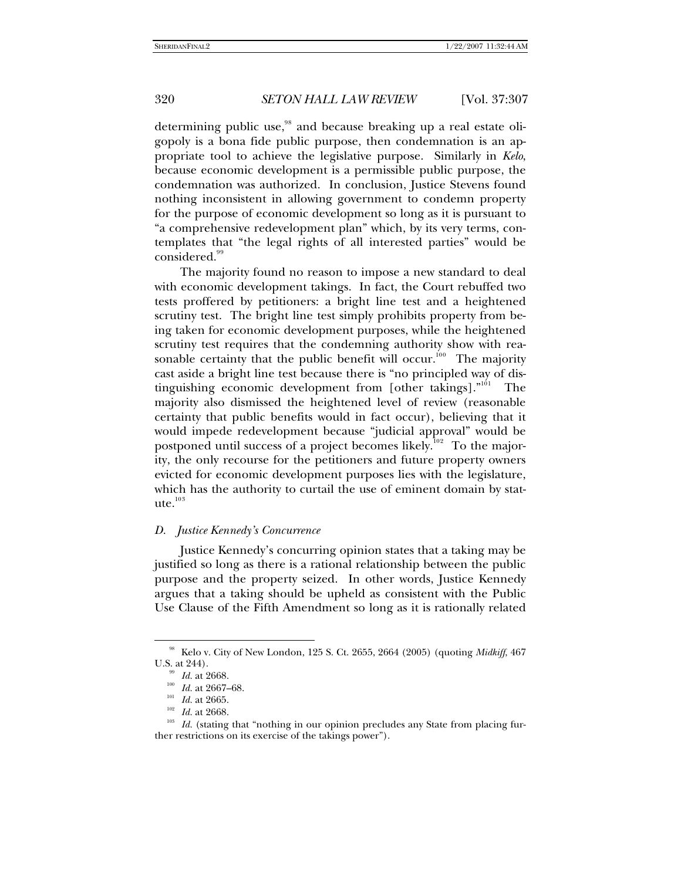determining public use,<sup>9[8](#page-13-0)</sup> and because breaking up a real estate oligopoly is a bona fide public purpose, then condemnation is an appropriate tool to achieve the legislative purpose. Similarly in *Kelo*, because economic development is a permissible public purpose, the condemnation was authorized. In conclusion, Justice Stevens found nothing inconsistent in allowing government to condemn property for the purpose of economic development so long as it is pursuant to "a comprehensive redevelopment plan" which, by its very terms, contemplates that "the legal rights of all interested parties" would be considered.<sup>[9](#page-13-1)9</sup>

The majority found no reason to impose a new standard to deal with economic development takings. In fact, the Court rebuffed two tests proffered by petitioners: a bright line test and a heightened scrutiny test. The bright line test simply prohibits property from being taken for economic development purposes, while the heightened scrutiny test requires that the condemning authority show with reasonable certainty that the public benefit will occur. $100$  $100$  $100$  The majority cast aside a bright line test because there is "no principled way of dis-tinguishing economic development from [other takings]."<sup>[1](#page-13-3)01</sup> The majority also dismissed the heightened level of review (reasonable certainty that public benefits would in fact occur), believing that it would impede redevelopment because "judicial approval" would be postponed until success of a project becomes likely. $^{102}$  $^{102}$  $^{102}$  To the majority, the only recourse for the petitioners and future property owners evicted for economic development purposes lies with the legislature, which has the authority to curtail the use of eminent domain by stat- $ute.<sup>103</sup>$  $ute.<sup>103</sup>$  $ute.<sup>103</sup>$ 

#### *D. Justice Kennedy's Concurrence*

Justice Kennedy's concurring opinion states that a taking may be justified so long as there is a rational relationship between the public purpose and the property seized. In other words, Justice Kennedy argues that a taking should be upheld as consistent with the Public Use Clause of the Fifth Amendment so long as it is rationally related

<sup>98</sup> Kelo v. City of New London, 125 S. Ct. 2655, 2664 (2005) (quoting *Midkiff*, 467

<span id="page-13-5"></span>

<span id="page-13-4"></span><span id="page-13-3"></span><span id="page-13-2"></span><span id="page-13-1"></span><span id="page-13-0"></span>U.S. at 244).<br><sup>99</sup> *Id.* at 2668.<br><sup>100</sup> *Id.* at 2665.<br><sup>102</sup> *Id.* at 2668.<br><sup>102</sup> *Id.* (stating that "nothing in our opinion precludes any State from placing fur-<br><sup>103</sup> *Id.* (stating that "nothing in our opinion preclude ther restrictions on its exercise of the takings power").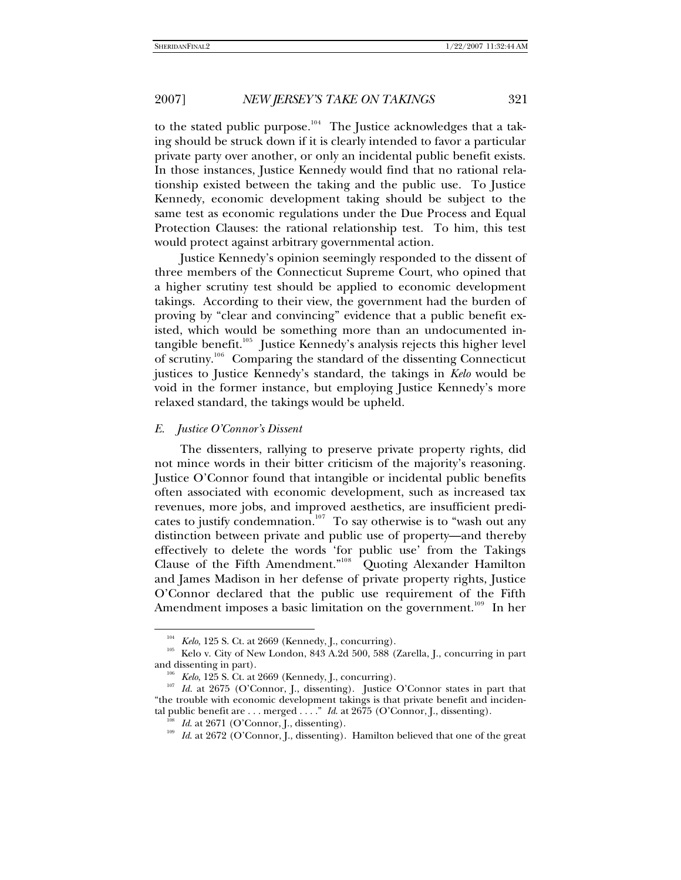to the stated public purpose.<sup>10[4](#page-14-0)</sup> The Justice acknowledges that a taking should be struck down if it is clearly intended to favor a particular private party over another, or only an incidental public benefit exists. In those instances, Justice Kennedy would find that no rational relationship existed between the taking and the public use. To Justice Kennedy, economic development taking should be subject to the same test as economic regulations under the Due Process and Equal Protection Clauses: the rational relationship test. To him, this test would protect against arbitrary governmental action.

Justice Kennedy's opinion seemingly responded to the dissent of three members of the Connecticut Supreme Court, who opined that a higher scrutiny test should be applied to economic development takings. According to their view, the government had the burden of proving by "clear and convincing" evidence that a public benefit existed, which would be something more than an undocumented in-tangible benefit.<sup>10[5](#page-14-1)</sup> Justice Kennedy's analysis rejects this higher level of scrutiny.<sup>10[6](#page-14-2)</sup> Comparing the standard of the dissenting Connecticut justices to Justice Kennedy's standard, the takings in *Kelo* would be void in the former instance, but employing Justice Kennedy's more relaxed standard, the takings would be upheld.

#### *E. Justice O'Connor's Dissent*

l

The dissenters, rallying to preserve private property rights, did not mince words in their bitter criticism of the majority's reasoning. Justice O'Connor found that intangible or incidental public benefits often associated with economic development, such as increased tax revenues, more jobs, and improved aesthetics, are insufficient predi-cates to justify condemnation.<sup>10[7](#page-14-3)</sup> To say otherwise is to "wash out any distinction between private and public use of property—and thereby effectively to delete the words 'for public use' from the Takings Clause of the Fifth Amendment."<sup>10[8](#page-14-4)</sup> Quoting Alexander Hamilton and James Madison in her defense of private property rights, Justice O'Connor declared that the public use requirement of the Fifth Amendment imposes a basic limitation on the government.<sup>10[9](#page-14-5)</sup> In her

<span id="page-14-1"></span><span id="page-14-0"></span><sup>&</sup>lt;sup>104</sup> Kelo, 125 S. Ct. at 2669 (Kennedy, J., concurring).<br><sup>105</sup> Kelo v. City of New London, 843 A.2d 500, 588 (Zarella, J., concurring in part and dissenting in part).

<span id="page-14-5"></span><span id="page-14-4"></span><span id="page-14-3"></span><span id="page-14-2"></span><sup>&</sup>lt;sup>106</sup> *Kelo*, 125 S. Ct. at 2669 (Kennedy, J., concurring).<br><sup>107</sup> *Id.* at 2675 (O'Connor, J., dissenting). Justice O'Connor states in part that "the trouble with economic development takings is that private benefit and incidental public benefit are . . . merged . . . . "  $Id$  at 2675 (O'Connor, J., dissenting).

<sup>&</sup>lt;sup>108</sup> *Id.* at 2671 (O'Connor, J., dissenting).<br><sup>109</sup> *Id.* at 2672 (O'Connor, J., dissenting). Hamilton believed that one of the great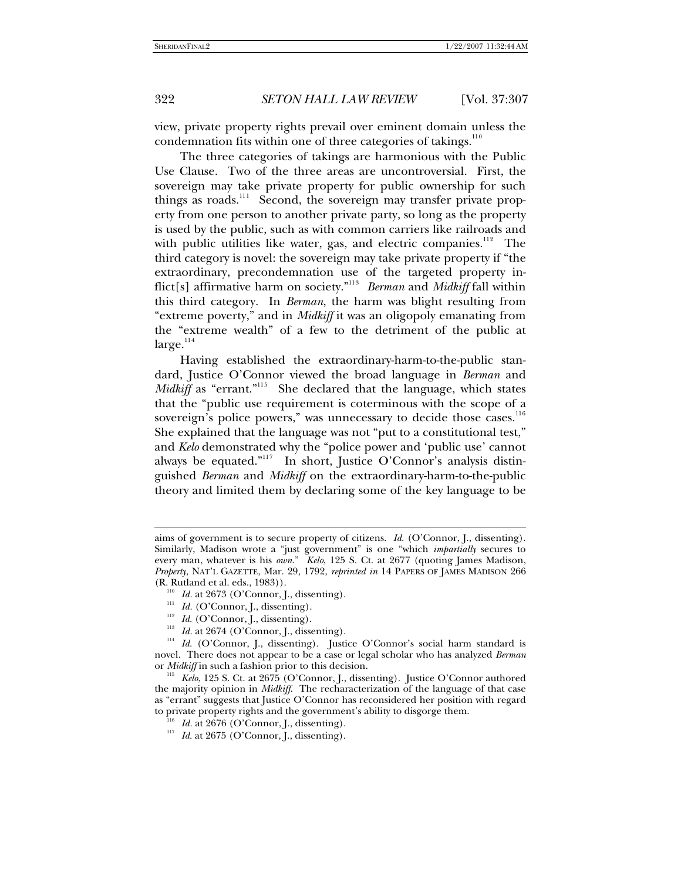-

322 *SETON HALL LAW REVIEW* [Vol. 37:307

view, private property rights prevail over eminent domain unless the condemnation fits within one of three categories of takings. $110$  $110$ 

The three categories of takings are harmonious with the Public Use Clause. Two of the three areas are uncontroversial. First, the sovereign may take private property for public ownership for such things as roads.<sup>[1](#page-15-1)11</sup> Second, the sovereign may transfer private property from one person to another private party, so long as the property is used by the public, such as with common carriers like railroads and with public utilities like water, gas, and electric companies. $^{112}$  $^{112}$  $^{112}$  The third category is novel: the sovereign may take private property if "the extraordinary, precondemnation use of the targeted property inflict[s] affirmative harm on society."11[3](#page-15-3) *Berman* and *Midkiff* fall within this third category. In *Berman*, the harm was blight resulting from "extreme poverty," and in *Midkiff* it was an oligopoly emanating from the "extreme wealth" of a few to the detriment of the public at  $large.<sup>114</sup>$  $large.<sup>114</sup>$  $large.<sup>114</sup>$ 

Having established the extraordinary-harm-to-the-public standard, Justice O'Connor viewed the broad language in *Berman* and *Midkiff* as "errant."<sup>11[5](#page-15-5)</sup> She declared that the language, which states that the "public use requirement is coterminous with the scope of a sovereign's police powers," was unnecessary to decide those cases.<sup>11[6](#page-15-6)</sup> She explained that the language was not "put to a constitutional test," and *Kelo* demonstrated why the "police power and 'public use' cannot always be equated."<sup>11[7](#page-15-7)</sup> In short, Justice O'Connor's analysis distinguished *Berman* and *Midkiff* on the extraordinary-harm-to-the-public theory and limited them by declaring some of the key language to be

- 
- 

aims of government is to secure property of citizens. *Id*. (O'Connor, J., dissenting). Similarly, Madison wrote a "just government" is one "which *impartially* secures to every man, whatever is his *own.*" *Kelo*, 125 S. Ct. at 2677 (quoting James Madison, *Property*, NAT'L GAZETTE, Mar. 29, 1792, *reprinted in* 14 PAPERS OF JAMES MADISON 266

<span id="page-15-0"></span><sup>(</sup>R. Rutland et al. eds., 1983)).<br><sup>110</sup> *Id.* at 2673 (O'Connor, J., dissenting).

<span id="page-15-3"></span><span id="page-15-2"></span><span id="page-15-1"></span><sup>&</sup>lt;sup>111</sup> *Id.* (O'Connor, J., dissenting).<br><sup>112</sup> *Id.* (O'Connor, J., dissenting).<br><sup>113</sup> *Id.* at 2674 (O'Connor, J., dissenting).<br><sup>114</sup> *Id.* (O'Connor, J., dissenting). Justice O'Connor's social harm standard is novel. There does not appear to be a case or legal scholar who has analyzed *Berman* or *Midkiff* in such a fashion prior to this decision.<br><sup>115</sup> *Kelo*, 125 S. Ct. at 2675 (O'Connor, J., dissenting). Justice O'Connor authored

<span id="page-15-7"></span><span id="page-15-6"></span><span id="page-15-5"></span><span id="page-15-4"></span>the majority opinion in *Midkiff*. The recharacterization of the language of that case as "errant" suggests that Justice O'Connor has reconsidered her position with regard to private property rights and the government's ability to disgorge them.<br> $^{116}$  *Id.* at 2676 (O'Connor, J., dissenting).

<sup>&</sup>lt;sup>117</sup> *Id.* at 2675 (O'Connor, J., dissenting).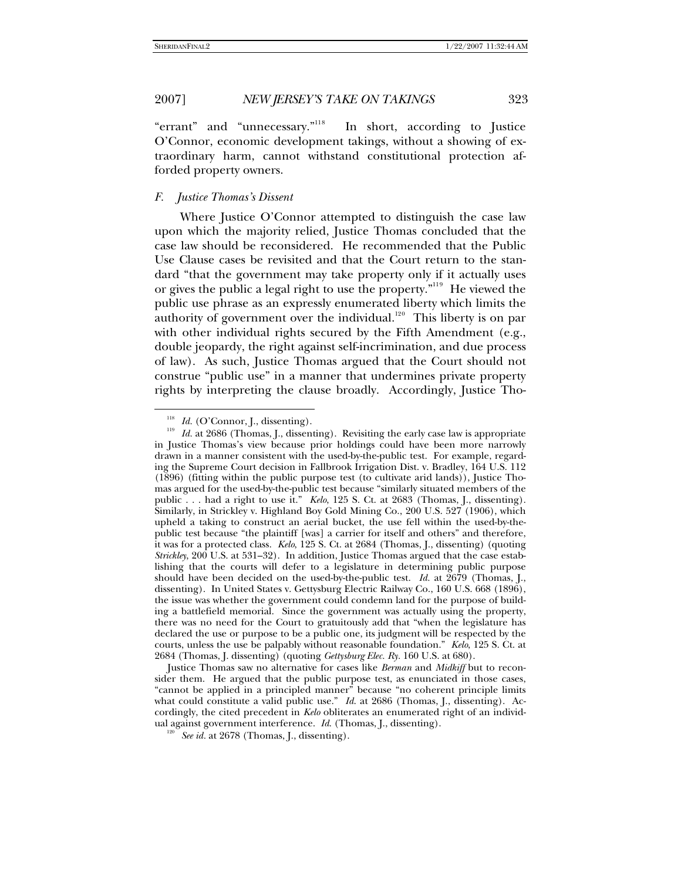"errant" and "unnecessary."<sup>11[8](#page-16-0)</sup> In short, according to Justice O'Connor, economic development takings, without a showing of extraordinary harm, cannot withstand constitutional protection afforded property owners.

#### *F. Justice Thomas's Dissent*

Where Justice O'Connor attempted to distinguish the case law upon which the majority relied, Justice Thomas concluded that the case law should be reconsidered. He recommended that the Public Use Clause cases be revisited and that the Court return to the standard "that the government may take property only if it actually uses or gives the public a legal right to use the property."<sup>11[9](#page-16-1)</sup> He viewed the public use phrase as an expressly enumerated liberty which limits the authority of government over the individual. $^{120}$  $^{120}$  $^{120}$  This liberty is on par with other individual rights secured by the Fifth Amendment (e.g., double jeopardy, the right against self-incrimination, and due process of law). As such, Justice Thomas argued that the Court should not construe "public use" in a manner that undermines private property rights by interpreting the clause broadly. Accordingly, Justice Tho-

l

<span id="page-16-2"></span> Justice Thomas saw no alternative for cases like *Berman* and *Midkiff* but to reconsider them. He argued that the public purpose test, as enunciated in those cases, "cannot be applied in a principled manner" because "no coherent principle limits what could constitute a valid public use." *Id.* at 2686 (Thomas, J., dissenting). Accordingly, the cited precedent in *Kelo* obliterates an enumerated right of an individual against government interference. *Id*. (Thomas, J., dissenting). 120 *See id.* at 2678 (Thomas, J., dissenting).

<span id="page-16-1"></span><span id="page-16-0"></span><sup>&</sup>lt;sup>118</sup> *Id.* (O'Connor, J., dissenting).<br><sup>119</sup> *Id.* at 2686 (Thomas, J., dissenting). Revisiting the early case law is appropriate in Justice Thomas's view because prior holdings could have been more narrowly drawn in a manner consistent with the used-by-the-public test. For example, regarding the Supreme Court decision in Fallbrook Irrigation Dist. v. Bradley, 164 U.S. 112 (1896) (fitting within the public purpose test (to cultivate arid lands)), Justice Thomas argued for the used-by-the-public test because "similarly situated members of the public . . . had a right to use it." *Kelo*, 125 S. Ct. at 2683 (Thomas, J., dissenting). Similarly, in Strickley v. Highland Boy Gold Mining Co., 200 U.S. 527 (1906), which upheld a taking to construct an aerial bucket, the use fell within the used-by-thepublic test because "the plaintiff [was] a carrier for itself and others" and therefore, it was for a protected class. *Kelo*, 125 S. Ct. at 2684 (Thomas, J., dissenting) (quoting *Strickley*, 200 U.S. at 531–32). In addition, Justice Thomas argued that the case establishing that the courts will defer to a legislature in determining public purpose should have been decided on the used-by-the-public test. *Id.* at 2679 (Thomas, J., dissenting). In United States v. Gettysburg Electric Railway Co., 160 U.S. 668 (1896), the issue was whether the government could condemn land for the purpose of building a battlefield memorial. Since the government was actually using the property, there was no need for the Court to gratuitously add that "when the legislature has declared the use or purpose to be a public one, its judgment will be respected by the courts, unless the use be palpably without reasonable foundation." *Kelo*, 125 S. Ct. at 2684 (Thomas, J. dissenting) (quoting *Gettysburg Elec. Ry.* 160 U.S. at 680).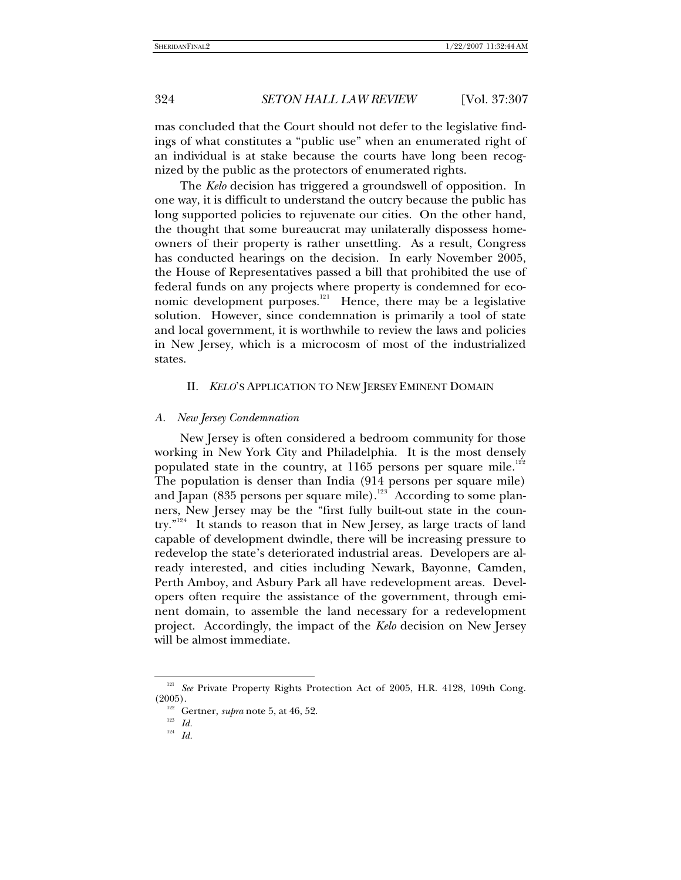mas concluded that the Court should not defer to the legislative findings of what constitutes a "public use" when an enumerated right of an individual is at stake because the courts have long been recognized by the public as the protectors of enumerated rights.

The *Kelo* decision has triggered a groundswell of opposition. In one way, it is difficult to understand the outcry because the public has long supported policies to rejuvenate our cities. On the other hand, the thought that some bureaucrat may unilaterally dispossess homeowners of their property is rather unsettling. As a result, Congress has conducted hearings on the decision. In early November 2005, the House of Representatives passed a bill that prohibited the use of federal funds on any projects where property is condemned for eco-nomic development purposes.<sup>[1](#page-17-0)21</sup> Hence, there may be a legislative solution. However, since condemnation is primarily a tool of state and local government, it is worthwhile to review the laws and policies in New Jersey, which is a microcosm of most of the industrialized states.

#### II. *KELO*'S APPLICATION TO NEW JERSEY EMINENT DOMAIN

#### *A. New Jersey Condemnation*

New Jersey is often considered a bedroom community for those working in New York City and Philadelphia. It is the most densely populated state in the country, at  $1165$  persons per square mile.<sup>1[2](#page-17-1)2</sup> The population is denser than India (914 persons per square mile) and Japan (8[3](#page-17-2)5 persons per square mile). $^{123}$  According to some planners, New Jersey may be the "first fully built-out state in the coun-try."<sup>12[4](#page-17-3)</sup> It stands to reason that in New Jersey, as large tracts of land capable of development dwindle, there will be increasing pressure to redevelop the state's deteriorated industrial areas. Developers are already interested, and cities including Newark, Bayonne, Camden, Perth Amboy, and Asbury Park all have redevelopment areas. Developers often require the assistance of the government, through eminent domain, to assemble the land necessary for a redevelopment project. Accordingly, the impact of the *Kelo* decision on New Jersey will be almost immediate.

<span id="page-17-3"></span><span id="page-17-2"></span><span id="page-17-1"></span><span id="page-17-0"></span><sup>&</sup>lt;sup>121</sup> See Private Property Rights Protection Act of 2005, H.R. 4128, 109th Cong. (2005).

 <sup>122</sup> Gertner, *supra* note 5, at 46, 52. 123 *Id.*

<sup>124</sup> *Id.*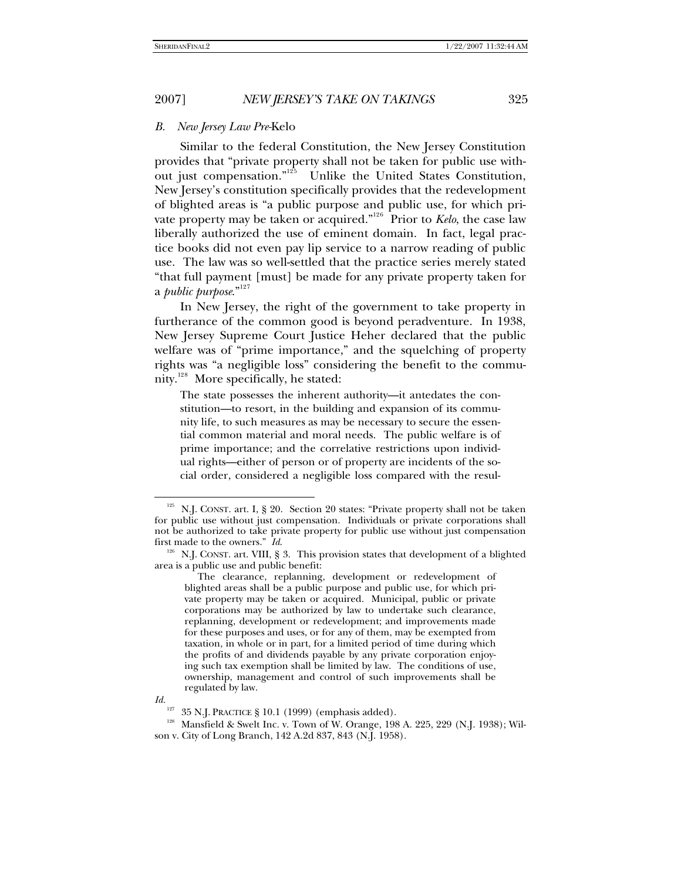#### *B. New Jersey Law Pre-*Kelo

Similar to the federal Constitution, the New Jersey Constitution provides that "private property shall not be taken for public use with-out just compensation."<sup>12[5](#page-18-0)</sup> Unlike the United States Constitution, New Jersey's constitution specifically provides that the redevelopment of blighted areas is "a public purpose and public use, for which pri-vate property may be taken or acquired."<sup>12[6](#page-18-1)</sup> Prior to *Kelo*, the case law liberally authorized the use of eminent domain. In fact, legal practice books did not even pay lip service to a narrow reading of public use. The law was so well-settled that the practice series merely stated "that full payment [must] be made for any private property taken for a *public purpose*."12[7](#page-18-2)

In New Jersey, the right of the government to take property in furtherance of the common good is beyond peradventure. In 1938, New Jersey Supreme Court Justice Heher declared that the public welfare was of "prime importance," and the squelching of property rights was "a negligible loss" considering the benefit to the commu-nity.<sup>12[8](#page-18-3)</sup> More specifically, he stated:

The state possesses the inherent authority—it antedates the constitution—to resort, in the building and expansion of its community life, to such measures as may be necessary to secure the essential common material and moral needs. The public welfare is of prime importance; and the correlative restrictions upon individual rights—either of person or of property are incidents of the social order, considered a negligible loss compared with the resul-

<span id="page-18-2"></span>

<span id="page-18-0"></span><sup>&</sup>lt;sup>125</sup> N.J. CONST. art. I, § 20. Section 20 states: "Private property shall not be taken for public use without just compensation. Individuals or private corporations shall not be authorized to take private property for public use without just compensation first made to the owners." *Id.* 126 N.J. CONST. art. VIII, § 3. This provision states that development of a blighted

<span id="page-18-1"></span>area is a public use and public benefit:

The clearance, replanning, development or redevelopment of blighted areas shall be a public purpose and public use, for which private property may be taken or acquired. Municipal, public or private corporations may be authorized by law to undertake such clearance, replanning, development or redevelopment; and improvements made for these purposes and uses, or for any of them, may be exempted from taxation, in whole or in part, for a limited period of time during which the profits of and dividends payable by any private corporation enjoying such tax exemption shall be limited by law. The conditions of use, ownership, management and control of such improvements shall be regulated by law.

*Id.* <br> $^{127}$  35 N.J. PRACTICE § 10.1 (1999) (emphasis added).

<span id="page-18-3"></span><sup>&</sup>lt;sup>128</sup> Mansfield & Swelt Inc. v. Town of W. Orange, 198 A. 225, 229 (N.J. 1938); Wilson v. City of Long Branch, 142 A.2d 837, 843 (N.J. 1958).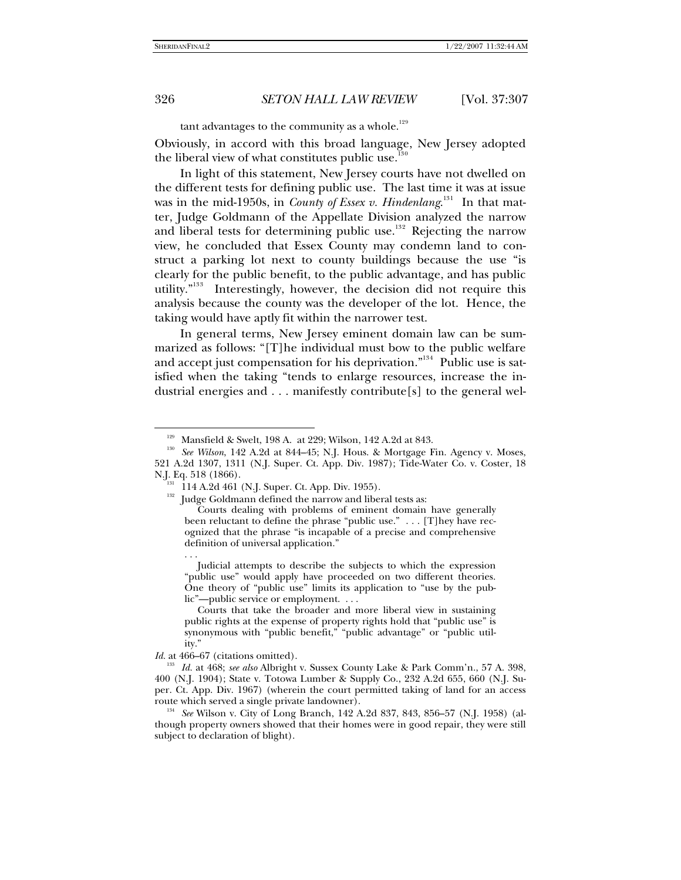l

### 326 *SETON HALL LAW REVIEW* [Vol. 37:307

tant advantages to the community as a whole. $129$  $129$ 

Obviously, in accord with this broad language, New Jersey adopted the liberal view of what constitutes public use.<sup>13[0](#page-19-1)</sup>

In light of this statement, New Jersey courts have not dwelled on the different tests for defining public use. The last time it was at issue was in the mid-[1](#page-19-2)950s, in *County of Essex v. Hindenlang*.<sup>131</sup> In that matter, Judge Goldmann of the Appellate Division analyzed the narrow and liberal tests for determining public use.<sup>13[2](#page-19-3)</sup> Rejecting the narrow view, he concluded that Essex County may condemn land to construct a parking lot next to county buildings because the use "is clearly for the public benefit, to the public advantage, and has public utility."<sup>1[3](#page-19-4)3</sup> Interestingly, however, the decision did not require this analysis because the county was the developer of the lot. Hence, the taking would have aptly fit within the narrower test.

In general terms, New Jersey eminent domain law can be summarized as follows: "[T]he individual must bow to the public welfare and accept just compensation for his deprivation."<sup>13[4](#page-19-5)</sup> Public use is satisfied when the taking "tends to enlarge resources, increase the industrial energies and . . . manifestly contribute[s] to the general wel-

. . .

<span id="page-19-3"></span><span id="page-19-2"></span><span id="page-19-1"></span><span id="page-19-0"></span><sup>&</sup>lt;sup>129</sup> Mansfield & Swelt, 198 A. at 229; Wilson, 142 A.2d at 843.<br><sup>130</sup> *See Wilson*, 142 A.2d at 844–45; N.J. Hous. & Mortgage Fin. Agency v. Moses, 521 A.2d 1307, 1311 (N.J. Super. Ct. App. Div. 1987); Tide-Water Co. v. Coster, 18 N.J. Eq. 518 (1866).<br>
<sup>131</sup> 114 A.2d 461 (N.J. Super. Ct. App. Div. 1955).

<sup>&</sup>lt;sup>132</sup> Judge Goldmann defined the narrow and liberal tests as:

Courts dealing with problems of eminent domain have generally been reluctant to define the phrase "public use." . . . [T]hey have recognized that the phrase "is incapable of a precise and comprehensive definition of universal application."

Judicial attempts to describe the subjects to which the expression "public use" would apply have proceeded on two different theories. One theory of "public use" limits its application to "use by the public"—public service or employment. . . .

Courts that take the broader and more liberal view in sustaining public rights at the expense of property rights hold that "public use" is synonymous with "public benefit," "public advantage" or "public utility."

<span id="page-19-4"></span>*Id.* at 466–67 (citations omitted). 133 *Id.* at 468; *see also* Albright v. Sussex County Lake & Park Comm'n., 57 A. 398, 400 (N.J. 1904); State v. Totowa Lumber & Supply Co., 232 A.2d 655, 660 (N.J. Super. Ct. App. Div. 1967) (wherein the court permitted taking of land for an access route which served a single private landowner).

<span id="page-19-5"></span><sup>&</sup>lt;sup>134</sup> See Wilson v. City of Long Branch, 142 A.2d 837, 843, 856–57 (N.J. 1958) (although property owners showed that their homes were in good repair, they were still subject to declaration of blight).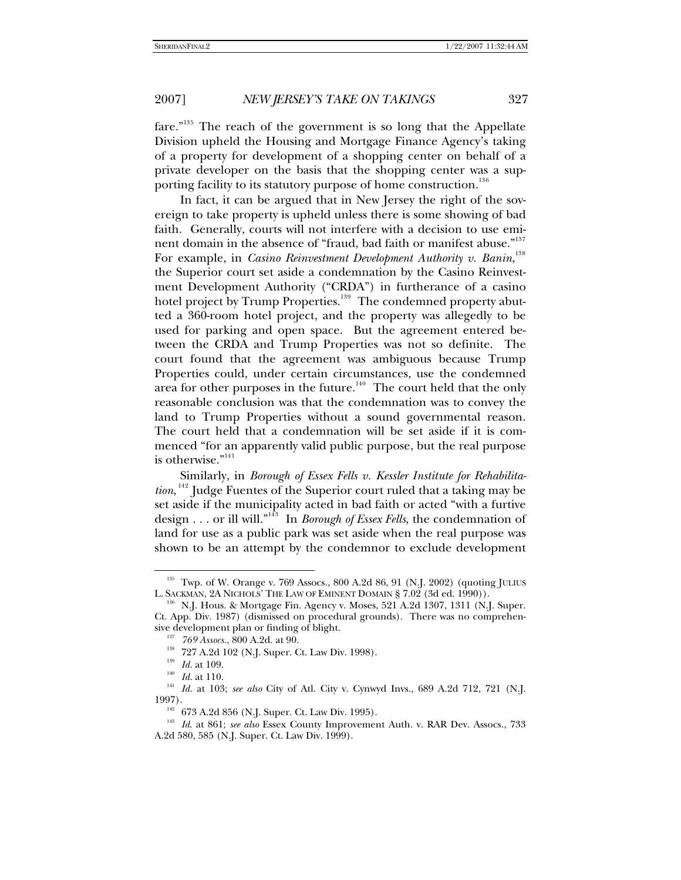fare."<sup>13[5](#page-20-0)</sup> The reach of the government is so long that the Appellate Division upheld the Housing and Mortgage Finance Agency's taking of a property for development of a shopping center on behalf of a private developer on the basis that the shopping center was a sup-porting facility to its statutory purpose of home construction.<sup>13[6](#page-20-1)</sup>

In fact, it can be argued that in New Jersey the right of the sovereign to take property is upheld unless there is some showing of bad faith. Generally, courts will not interfere with a decision to use emi-nent domain in the absence of "fraud, bad faith or manifest abuse."<sup>13[7](#page-20-2)</sup> For example, in *Casino Reinvestment Development Authority v. Banin*,<sup>13[8](#page-20-3)</sup> the Superior court set aside a condemnation by the Casino Reinvestment Development Authority ("CRDA") in furtherance of a casino hotel project by Trump Properties. $^{\rm 139}$  $^{\rm 139}$  $^{\rm 139}$  The condemned property abutted a 360-room hotel project, and the property was allegedly to be used for parking and open space. But the agreement entered between the CRDA and Trump Properties was not so definite. The court found that the agreement was ambiguous because Trump Properties could, under certain circumstances, use the condemned area for other purposes in the future. $140$  $140$  The court held that the only reasonable conclusion was that the condemnation was to convey the land to Trump Properties without a sound governmental reason. The court held that a condemnation will be set aside if it is commenced "for an apparently valid public purpose, but the real purpose is otherwise."<sup>[1](#page-20-6)41</sup>

Similarly, in *Borough of Essex Fells v. Kessler Institute for Rehabilita-*tion, <sup>14[2](#page-20-7)</sup> Judge Fuentes of the Superior court ruled that a taking may be set aside if the municipality acted in bad faith or acted "with a furtive design . . . or ill will."14[3](#page-20-8) In *Borough of Essex Fells*, the condemnation of land for use as a public park was set aside when the real purpose was shown to be an attempt by the condemnor to exclude development

<span id="page-20-0"></span><sup>&</sup>lt;sup>135</sup> Twp. of W. Orange v. 769 Assocs., 800 A.2d 86, 91 (N.J. 2002) (quoting JULIUS L. SACKMAN, 2A NICHOLS' THE LAW OF EMINENT DOMAIN § 7.02 (3d ed. 1990)).

<span id="page-20-1"></span> $^{136}$  N.J. Hous. & Mortgage Fin. Agency v. Moses, 521 A.2d 1307, 1311 (N.J. Super. Ct. App. Div. 1987) (dismissed on procedural grounds). There was no comprehen-

<span id="page-20-5"></span><span id="page-20-4"></span><span id="page-20-3"></span><span id="page-20-2"></span><sup>&</sup>lt;sup>137</sup> 769 Assocs., 800 A.2d. at 90.<br><sup>138</sup> 727 A.2d 102 (N.J. Super. Ct. Law Div. 1998).<br><sup>139</sup> *Id.* at 109.<br><sup>140</sup> *Id.* at 110.<br><sup>141</sup> *Id.* at 103; *see also* City of Atl. City v. Cynwyd Invs., 689 A.2d 712, 721 (N.J. 1997).<br> $1^{142}$  673 A.2d 856 (N.J. Super. Ct. Law Div. 1995).

<span id="page-20-8"></span><span id="page-20-7"></span><span id="page-20-6"></span><sup>&</sup>lt;sup>143</sup> Id. at 861; *see also* Essex County Improvement Auth. v. RAR Dev. Assocs., 733 A.2d 580, 585 (N.J. Super. Ct. Law Div. 1999).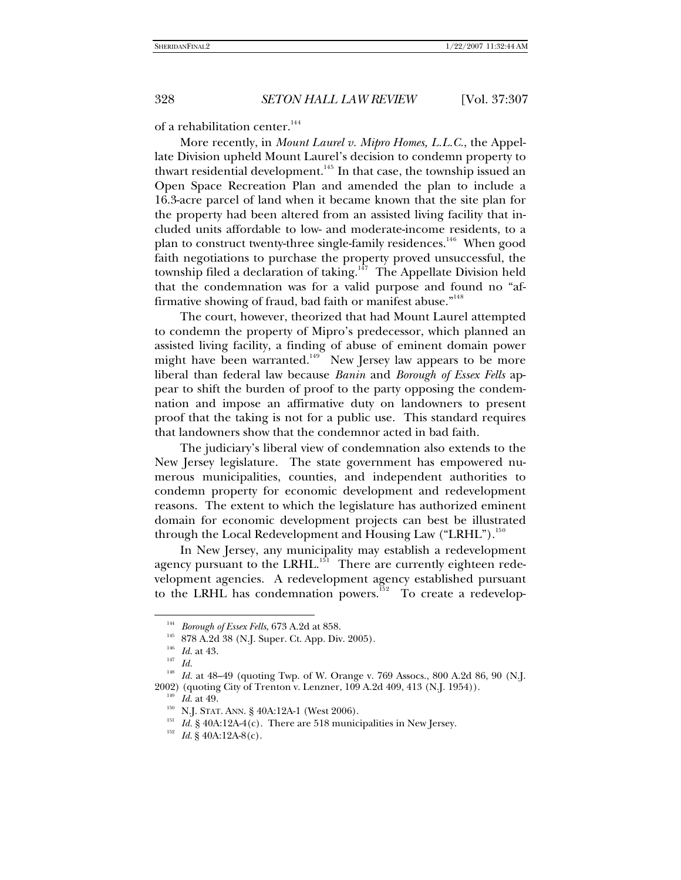of a rehabilitation center.<sup>1[4](#page-21-0)4</sup>

More recently, in *Mount Laurel v. Mipro Homes, L.L.C.*, the Appellate Division upheld Mount Laurel's decision to condemn property to thwart residential development.<sup>14[5](#page-21-1)</sup> In that case, the township issued an Open Space Recreation Plan and amended the plan to include a 16.3-acre parcel of land when it became known that the site plan for the property had been altered from an assisted living facility that included units affordable to low- and moderate-income residents, to a plan to construct twenty-three single-family residences.<sup>14[6](#page-21-2)</sup> When good faith negotiations to purchase the property proved unsuccessful, the township filed a declaration of taking.<sup>14[7](#page-21-3)</sup> The Appellate Division held that the condemnation was for a valid purpose and found no "af-firmative showing of fraud, bad faith or manifest abuse."<sup>14[8](#page-21-4)</sup>

The court, however, theorized that had Mount Laurel attempted to condemn the property of Mipro's predecessor, which planned an assisted living facility, a finding of abuse of eminent domain power might have been warranted.<sup>14[9](#page-21-5)</sup> New Jersey law appears to be more liberal than federal law because *Banin* and *Borough of Essex Fells* appear to shift the burden of proof to the party opposing the condemnation and impose an affirmative duty on landowners to present proof that the taking is not for a public use. This standard requires that landowners show that the condemnor acted in bad faith.

The judiciary's liberal view of condemnation also extends to the New Jersey legislature. The state government has empowered numerous municipalities, counties, and independent authorities to condemn property for economic development and redevelopment reasons. The extent to which the legislature has authorized eminent domain for economic development projects can best be illustrated through the Local Redevelopment and Housing Law ("LRHL").<sup>15[0](#page-21-6)</sup>

In New Jersey, any municipality may establish a redevelopment agency pursuant to the LRHL.<sup>[1](#page-21-7)51</sup> There are currently eighteen redevelopment agencies. A redevelopment agency established pursuant to the LRHL has condemnation powers.<sup>15[2](#page-21-8)</sup> To create a redevelop-

<span id="page-21-0"></span><sup>&</sup>lt;sup>144</sup> *Borough of Essex Fells*, 673 A.2d at 858.<br><sup>145</sup> 878 A.2d 38 (N.J. Super. Ct. App. Div. 2005).<br><sup>145</sup> *Id.* at 43. 148 49 (quoting Tup. of W. Orange v.

<span id="page-21-8"></span><span id="page-21-7"></span><span id="page-21-6"></span><span id="page-21-5"></span><span id="page-21-4"></span><span id="page-21-3"></span><span id="page-21-2"></span><span id="page-21-1"></span>Id. at 48–49 (quoting Twp. of W. Orange v. 769 Assocs., 800 A.2d 86, 90 (N.J. 2002) (quoting City of Trenton v. Lenzner, 109 A.2d 409, 413 (N.J. 1954)).<br> $^{149}$  *Id.* at 49.

<sup>&</sup>lt;sup>150</sup> N.J. STAT. ANN. § 40A:12A-1 (West 2006).<br><sup>151</sup> *Id.* § 40A:12A-4(c). There are 518 municipalities in New Jersey.<br><sup>152</sup> *Id.* § 40A:12A-8(c).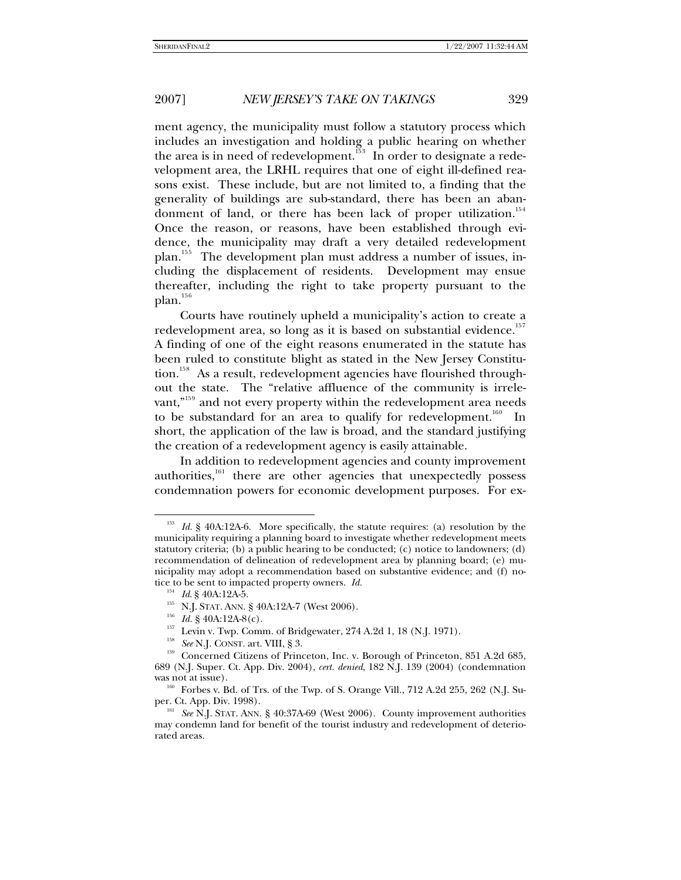ment agency, the municipality must follow a statutory process which includes an investigation and holding a public hearing on whether the area is in need of redevelopment.<sup>15[3](#page-22-0)</sup> In order to designate a redevelopment area, the LRHL requires that one of eight ill-defined reasons exist. These include, but are not limited to, a finding that the generality of buildings are sub-standard, there has been an aban-donment of land, or there has been lack of proper utilization.<sup>15[4](#page-22-1)</sup> Once the reason, or reasons, have been established through evidence, the municipality may draft a very detailed redevelopment plan.<sup>1[5](#page-22-2)5</sup> The development plan must address a number of issues, including the displacement of residents. Development may ensue thereafter, including the right to take property pursuant to the plan.<sup>15[6](#page-22-3)</sup>

Courts have routinely upheld a municipality's action to create a redevelopment area, so long as it is based on substantial evidence.<sup>15[7](#page-22-4)</sup> A finding of one of the eight reasons enumerated in the statute has been ruled to constitute blight as stated in the New Jersey Constitu-tion.<sup>15[8](#page-22-5)</sup> As a result, redevelopment agencies have flourished throughout the state. The "relative affluence of the community is irrele-vant,"<sup>15[9](#page-22-6)</sup> and not every property within the redevelopment area needs to be substandard for an area to qualify for redevelopment.<sup>16[0](#page-22-7)</sup> In short, the application of the law is broad, and the standard justifying the creation of a redevelopment agency is easily attainable.

In addition to redevelopment agencies and county improvement authorities,<sup>[1](#page-22-8)61</sup> there are other agencies that unexpectedly possess condemnation powers for economic development purposes. For ex-

<span id="page-22-0"></span><sup>153</sup> *Id.* § 40A:12A-6. More specifically, the statute requires: (a) resolution by the municipality requiring a planning board to investigate whether redevelopment meets statutory criteria; (b) a public hearing to be conducted; (c) notice to landowners; (d) recommendation of delineation of redevelopment area by planning board; (e) municipality may adopt a recommendation based on substantive evidence; and (f) notice to be sent to impacted property owners. *Id.* <sup>154</sup> *Id.* § 40A:12A-5.

<span id="page-22-5"></span><span id="page-22-4"></span><span id="page-22-3"></span><span id="page-22-2"></span><span id="page-22-1"></span><sup>&</sup>lt;sup>155</sup> N.J. STAT. ANN. § 40A:12A-7 (West 2006).<br>
<sup>156</sup> *Id.* § 40A:12A-8(c).<br>
<sup>157</sup> Levin v. Twp. Comm. of Bridgewater, 274 A.2d 1, 18 (N.J. 1971).<br>
<sup>158</sup> *See* N.J. CONST. art. VIII, § 3.<br>
Concerned Citizens of Princeton, 689 (N.J. Super. Ct. App. Div. 2004), *cert. denied*, 182 N.J. 139 (2004) (condemnation

<span id="page-22-7"></span><span id="page-22-6"></span> $^{160}$  Forbes v. Bd. of Trs. of the Twp. of S. Orange Vill., 712 A.2d 255, 262 (N.J. Super. Ct. App. Div. 1998).

<span id="page-22-8"></span><sup>&</sup>lt;sup>161</sup> See N.J. STAT. ANN. § 40:37A-69 (West 2006). County improvement authorities may condemn land for benefit of the tourist industry and redevelopment of deteriorated areas.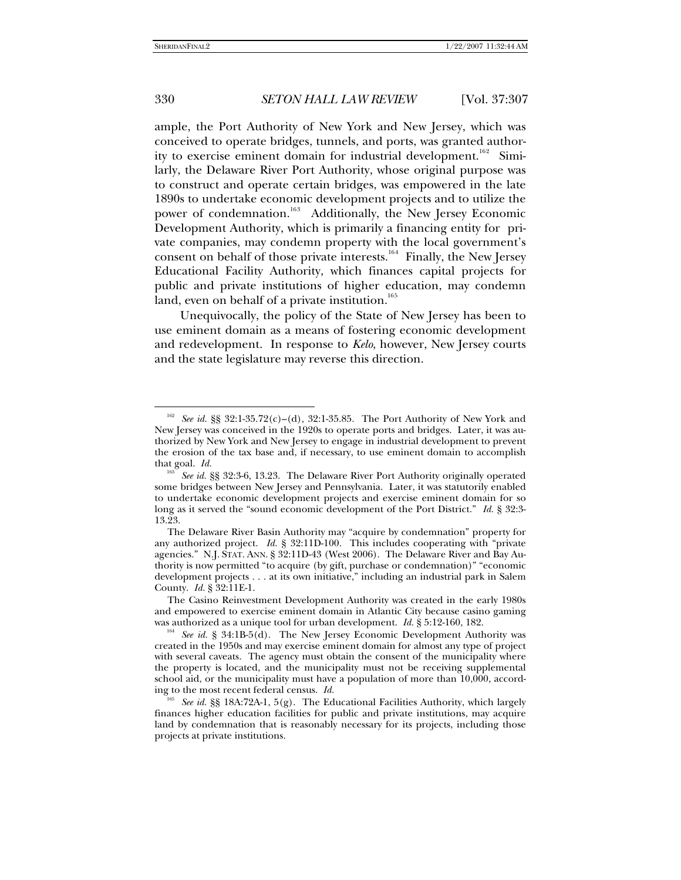ample, the Port Authority of New York and New Jersey, which was conceived to operate bridges, tunnels, and ports, was granted author-ity to exercise eminent domain for industrial development.<sup>16[2](#page-23-0)</sup> Similarly, the Delaware River Port Authority, whose original purpose was to construct and operate certain bridges, was empowered in the late 1890s to undertake economic development projects and to utilize the power of condemnation.<sup>16[3](#page-23-1)</sup> Additionally, the New Jersey Economic Development Authority, which is primarily a financing entity for private companies, may condemn property with the local government's consent on behalf of those private interests.<sup>16[4](#page-23-2)</sup> Finally, the New Jersey Educational Facility Authority, which finances capital projects for public and private institutions of higher education, may condemn land, even on behalf of a private institution.<sup>16[5](#page-23-3)</sup>

Unequivocally, the policy of the State of New Jersey has been to use eminent domain as a means of fostering economic development and redevelopment. In response to *Kelo*, however, New Jersey courts and the state legislature may reverse this direction.

<span id="page-23-0"></span><sup>162</sup> *See id.* §§ 32:1-35.72(c)–(d), 32:1-35.85. The Port Authority of New York and New Jersey was conceived in the 1920s to operate ports and bridges. Later, it was authorized by New York and New Jersey to engage in industrial development to prevent the erosion of the tax base and, if necessary, to use eminent domain to accomplish that goal. *Id.*

<span id="page-23-1"></span><sup>&</sup>lt;sup>163</sup> See id. §§ 32:3-6, 13.23. The Delaware River Port Authority originally operated some bridges between New Jersey and Pennsylvania. Later, it was statutorily enabled to undertake economic development projects and exercise eminent domain for so long as it served the "sound economic development of the Port District." *Id.* § 32:3- 13.23.

The Delaware River Basin Authority may "acquire by condemnation" property for any authorized project. *Id.* § 32:11D-100. This includes cooperating with "private agencies." N.J. STAT. ANN. § 32:11D-43 (West 2006). The Delaware River and Bay Authority is now permitted "to acquire (by gift, purchase or condemnation)" "economic development projects . . . at its own initiative," including an industrial park in Salem County. *Id.* § 32:11E-1.

The Casino Reinvestment Development Authority was created in the early 1980s and empowered to exercise eminent domain in Atlantic City because casino gaming was authorized as a unique tool for urban development. *Id.* § 5:12-160, 182.<br><sup>164</sup> *See id.* § 34:1B-5(d). The New Jersey Economic Development Authority was

<span id="page-23-2"></span>created in the 1950s and may exercise eminent domain for almost any type of project with several caveats. The agency must obtain the consent of the municipality where the property is located, and the municipality must not be receiving supplemental school aid, or the municipality must have a population of more than 10,000, according to the most recent federal census. *Id.*

<span id="page-23-3"></span><sup>&</sup>lt;sup>165</sup> See id. §§ 18A:72A-1, 5(g). The Educational Facilities Authority, which largely finances higher education facilities for public and private institutions, may acquire land by condemnation that is reasonably necessary for its projects, including those projects at private institutions.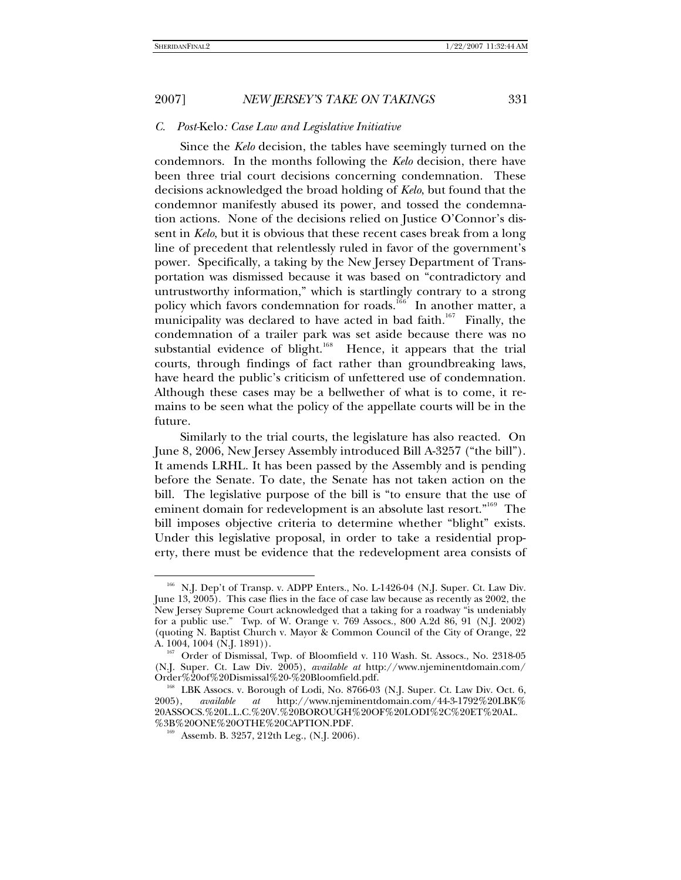l

## 2007] *NEW JERSEY'S TAKE ON TAKINGS* 331

### *C. Post-*Kelo*: Case Law and Legislative Initiative*

Since the *Kelo* decision, the tables have seemingly turned on the condemnors. In the months following the *Kelo* decision, there have been three trial court decisions concerning condemnation. These decisions acknowledged the broad holding of *Kelo*, but found that the condemnor manifestly abused its power, and tossed the condemnation actions. None of the decisions relied on Justice O'Connor's dissent in *Kelo*, but it is obvious that these recent cases break from a long line of precedent that relentlessly ruled in favor of the government's power. Specifically, a taking by the New Jersey Department of Transportation was dismissed because it was based on "contradictory and untrustworthy information," which is startlingly contrary to a strong policy which favors condemnation for roads.<sup>1[6](#page-24-0)6</sup> In another matter, a municipality was declared to have acted in bad faith.<sup>16[7](#page-24-1)</sup> Finally, the condemnation of a trailer park was set aside because there was no substantial evidence of blight.<sup>16[8](#page-24-2)</sup> Hence, it appears that the trial courts, through findings of fact rather than groundbreaking laws, have heard the public's criticism of unfettered use of condemnation. Although these cases may be a bellwether of what is to come, it remains to be seen what the policy of the appellate courts will be in the future.

Similarly to the trial courts, the legislature has also reacted. On June 8, 2006, New Jersey Assembly introduced Bill A-3257 ("the bill"). It amends LRHL. It has been passed by the Assembly and is pending before the Senate. To date, the Senate has not taken action on the bill. The legislative purpose of the bill is "to ensure that the use of eminent domain for redevelopment is an absolute last resort."<sup>16[9](#page-24-3)</sup> The bill imposes objective criteria to determine whether "blight" exists. Under this legislative proposal, in order to take a residential property, there must be evidence that the redevelopment area consists of

<span id="page-24-0"></span><sup>&</sup>lt;sup>166</sup> N.J. Dep't of Transp. v. ADPP Enters., No. L-1426-04 (N.J. Super. Ct. Law Div. June 13, 2005). This case flies in the face of case law because as recently as 2002, the New Jersey Supreme Court acknowledged that a taking for a roadway "is undeniably for a public use." Twp. of W. Orange v. 769 Assocs., 800 A.2d 86, 91 (N.J. 2002) (quoting N. Baptist Church v. Mayor & Common Council of the City of Orange, 22

<span id="page-24-1"></span> $^{167}$  Order of Dismissal, Twp. of Bloomfield v. 110 Wash. St. Assocs., No. 2318-05 (N.J. Super. Ct. Law Div. 2005), *available at* http://www.njeminentdomain.com/

<span id="page-24-3"></span><span id="page-24-2"></span><sup>&</sup>lt;sup>168</sup> LBK Assocs. v. Borough of Lodi, No. 8766-03 (N.J. Super. Ct. Law Div. Oct. 6, 2005), *available* at http://www.njeminentdomain.com/44-3-1792%20LBK% 2005), *available at* http://www.njeminentdomain.com/44-3-1792%20LBK% 20ASSOCS.%20L.L.C.%20V.%20BOROUGH%20OF%20LODI%2C%20ET%20AL. %3B%20ONE%20OTHE%20CAPTION.PDF.

<sup>&</sup>lt;sup>169</sup> Assemb. B. 3257, 212th Leg., (N.J. 2006).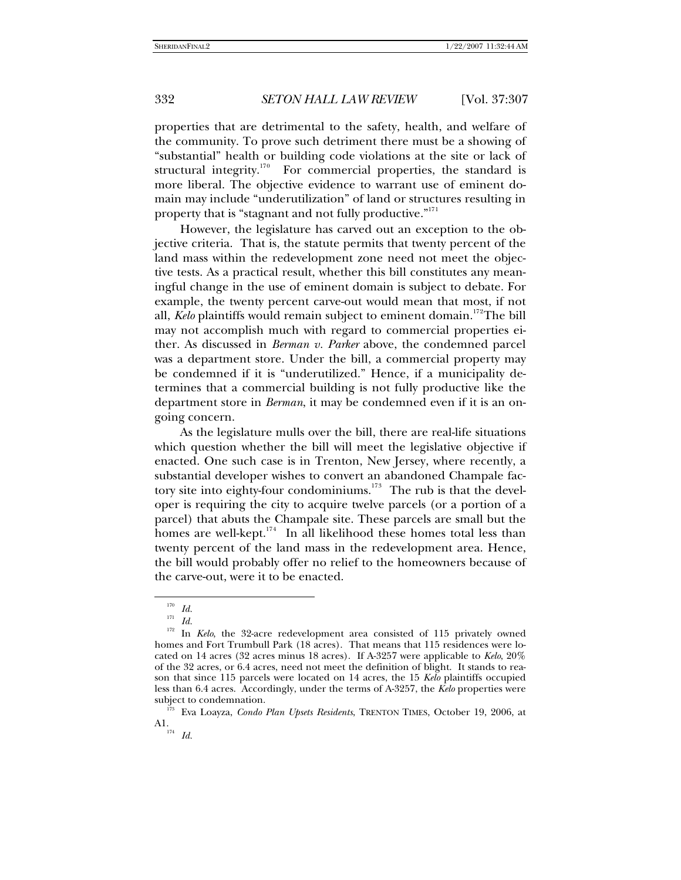properties that are detrimental to the safety, health, and welfare of the community. To prove such detriment there must be a showing of "substantial" health or building code violations at the site or lack of structural integrity.<sup>17[0](#page-25-0)</sup> For commercial properties, the standard is more liberal. The objective evidence to warrant use of eminent domain may include "underutilization" of land or structures resulting in property that is "stagnant and not fully productive."<sup>[1](#page-25-1)71</sup>

However, the legislature has carved out an exception to the objective criteria. That is, the statute permits that twenty percent of the land mass within the redevelopment zone need not meet the objective tests. As a practical result, whether this bill constitutes any meaningful change in the use of eminent domain is subject to debate. For example, the twenty percent carve-out would mean that most, if not all, *Kelo* plaintiffs would remain subject to eminent domain.<sup>17[2](#page-25-2)</sup>The bill may not accomplish much with regard to commercial properties either. As discussed in *Berman v. Parker* above, the condemned parcel was a department store. Under the bill, a commercial property may be condemned if it is "underutilized." Hence, if a municipality determines that a commercial building is not fully productive like the department store in *Berman*, it may be condemned even if it is an ongoing concern.

As the legislature mulls over the bill, there are real-life situations which question whether the bill will meet the legislative objective if enacted. One such case is in Trenton, New Jersey, where recently, a substantial developer wishes to convert an abandoned Champale fac-tory site into eighty-four condominiums.<sup>17[3](#page-25-3)</sup> The rub is that the developer is requiring the city to acquire twelve parcels (or a portion of a parcel) that abuts the Champale site. These parcels are small but the homes are well-kept.<sup>17[4](#page-25-4)</sup> In all likelihood these homes total less than twenty percent of the land mass in the redevelopment area. Hence, the bill would probably offer no relief to the homeowners because of the carve-out, were it to be enacted.

l

<sup>174</sup>*Id.*

 $\frac{170}{171}$  *Id.* 

<sup>171</sup>*Id.*

<span id="page-25-2"></span><span id="page-25-1"></span><span id="page-25-0"></span><sup>&</sup>lt;sup>172</sup> In *Kelo*, the 32-acre redevelopment area consisted of 115 privately owned homes and Fort Trumbull Park (18 acres). That means that 115 residences were located on 14 acres (32 acres minus 18 acres). If A-3257 were applicable to *Kelo*, 20% of the 32 acres, or 6.4 acres, need not meet the definition of blight. It stands to reason that since 115 parcels were located on 14 acres, the 15 *Kelo* plaintiffs occupied less than 6.4 acres. Accordingly, under the terms of A-3257, the *Kelo* properties were subject to condemnation.

<span id="page-25-4"></span><span id="page-25-3"></span> <sup>173</sup> Eva Loayza, *Condo Plan Upsets Residents*, TRENTON TIMES, October 19, 2006, at A1.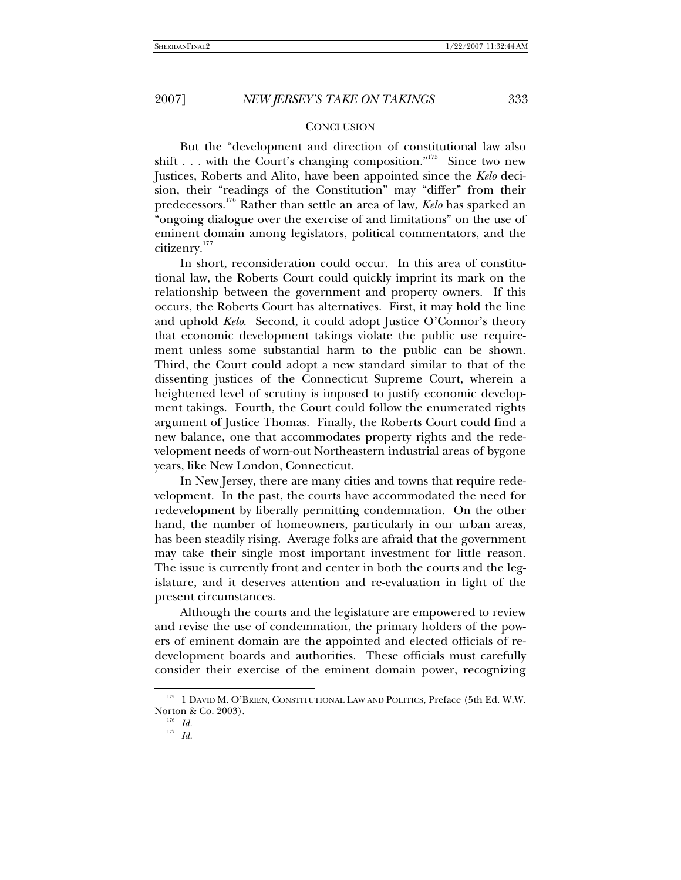#### **CONCLUSION**

But the "development and direction of constitutional law also shift . . . with the Court's changing composition."<sup>17[5](#page-26-0)</sup> Since two new Justices, Roberts and Alito, have been appointed since the *Kelo* decision, their "readings of the Constitution" may "differ" from their predecessors.17[6](#page-26-1) Rather than settle an area of law, *Kelo* has sparked an "ongoing dialogue over the exercise of and limitations" on the use of eminent domain among legislators, political commentators, and the citizenry.17[7](#page-26-2)

In short, reconsideration could occur. In this area of constitutional law, the Roberts Court could quickly imprint its mark on the relationship between the government and property owners. If this occurs, the Roberts Court has alternatives. First, it may hold the line and uphold *Kelo*. Second, it could adopt Justice O'Connor's theory that economic development takings violate the public use requirement unless some substantial harm to the public can be shown. Third, the Court could adopt a new standard similar to that of the dissenting justices of the Connecticut Supreme Court, wherein a heightened level of scrutiny is imposed to justify economic development takings. Fourth, the Court could follow the enumerated rights argument of Justice Thomas. Finally, the Roberts Court could find a new balance, one that accommodates property rights and the redevelopment needs of worn-out Northeastern industrial areas of bygone years, like New London, Connecticut.

In New Jersey, there are many cities and towns that require redevelopment. In the past, the courts have accommodated the need for redevelopment by liberally permitting condemnation. On the other hand, the number of homeowners, particularly in our urban areas, has been steadily rising. Average folks are afraid that the government may take their single most important investment for little reason. The issue is currently front and center in both the courts and the legislature, and it deserves attention and re-evaluation in light of the present circumstances.

Although the courts and the legislature are empowered to review and revise the use of condemnation, the primary holders of the powers of eminent domain are the appointed and elected officials of redevelopment boards and authorities. These officials must carefully consider their exercise of the eminent domain power, recognizing

<span id="page-26-2"></span><span id="page-26-1"></span><span id="page-26-0"></span><sup>&</sup>lt;sup>175</sup> 1 DAVID M. O'BRIEN, CONSTITUTIONAL LAW AND POLITICS, Preface (5th Ed. W.W. Norton & Co. 2003).

<sup>176</sup>*Id.*

<sup>177</sup>*Id.*